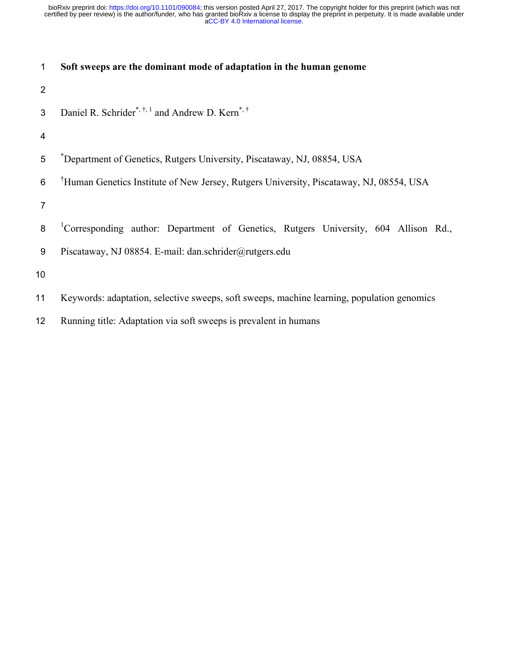| 1                       | Soft sweeps are the dominant mode of adaptation in the human genome                                 |  |  |  |
|-------------------------|-----------------------------------------------------------------------------------------------------|--|--|--|
| $\overline{2}$          |                                                                                                     |  |  |  |
| 3                       | Daniel R. Schrider <sup>*, †, 1</sup> and Andrew D. Kern <sup>*, †</sup>                            |  |  |  |
| $\overline{\mathbf{4}}$ |                                                                                                     |  |  |  |
| 5                       | Department of Genetics, Rutgers University, Piscataway, NJ, 08854, USA                              |  |  |  |
| 6                       | <sup>†</sup> Human Genetics Institute of New Jersey, Rutgers University, Piscataway, NJ, 08554, USA |  |  |  |
| $\overline{7}$          |                                                                                                     |  |  |  |
| 8                       | <sup>1</sup> Corresponding author: Department of Genetics, Rutgers University, 604 Allison Rd.,     |  |  |  |
| 9                       | Piscataway, NJ 08854. E-mail: dan.schrider@rutgers.edu                                              |  |  |  |
| 10                      |                                                                                                     |  |  |  |
| 11                      | Keywords: adaptation, selective sweeps, soft sweeps, machine learning, population genomics          |  |  |  |
| 12                      | Running title: Adaptation via soft sweeps is prevalent in humans                                    |  |  |  |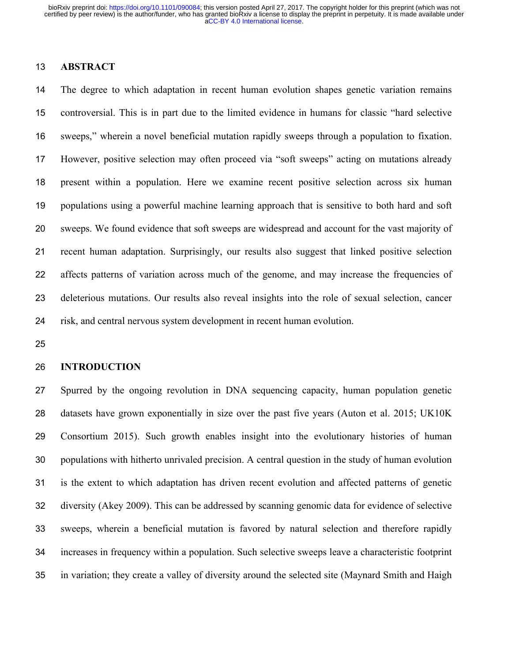### **ABSTRACT**

 The degree to which adaptation in recent human evolution shapes genetic variation remains controversial. This is in part due to the limited evidence in humans for classic "hard selective sweeps," wherein a novel beneficial mutation rapidly sweeps through a population to fixation. However, positive selection may often proceed via "soft sweeps" acting on mutations already present within a population. Here we examine recent positive selection across six human populations using a powerful machine learning approach that is sensitive to both hard and soft sweeps. We found evidence that soft sweeps are widespread and account for the vast majority of recent human adaptation. Surprisingly, our results also suggest that linked positive selection 22 affects patterns of variation across much of the genome, and may increase the frequencies of deleterious mutations. Our results also reveal insights into the role of sexual selection, cancer risk, and central nervous system development in recent human evolution.

#### **INTRODUCTION**

 Spurred by the ongoing revolution in DNA sequencing capacity, human population genetic datasets have grown exponentially in size over the past five years (Auton et al. 2015; UK10K Consortium 2015). Such growth enables insight into the evolutionary histories of human populations with hitherto unrivaled precision. A central question in the study of human evolution is the extent to which adaptation has driven recent evolution and affected patterns of genetic diversity (Akey 2009). This can be addressed by scanning genomic data for evidence of selective sweeps, wherein a beneficial mutation is favored by natural selection and therefore rapidly increases in frequency within a population. Such selective sweeps leave a characteristic footprint in variation; they create a valley of diversity around the selected site (Maynard Smith and Haigh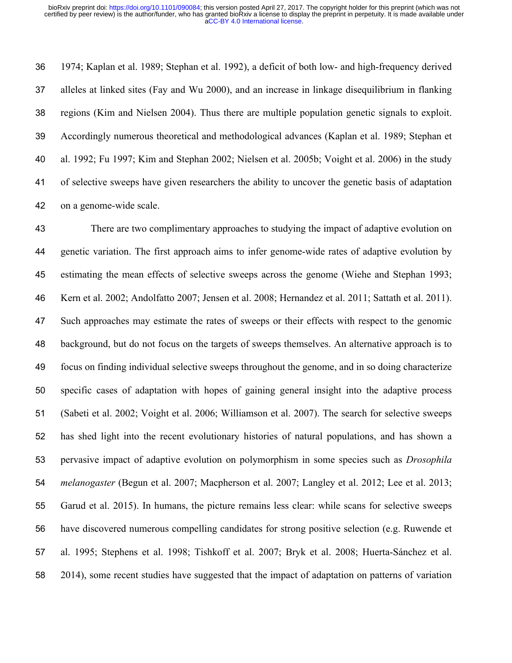1974; Kaplan et al. 1989; Stephan et al. 1992), a deficit of both low- and high-frequency derived alleles at linked sites (Fay and Wu 2000), and an increase in linkage disequilibrium in flanking regions (Kim and Nielsen 2004). Thus there are multiple population genetic signals to exploit. Accordingly numerous theoretical and methodological advances (Kaplan et al. 1989; Stephan et al. 1992; Fu 1997; Kim and Stephan 2002; Nielsen et al. 2005b; Voight et al. 2006) in the study of selective sweeps have given researchers the ability to uncover the genetic basis of adaptation on a genome-wide scale.

 There are two complimentary approaches to studying the impact of adaptive evolution on genetic variation. The first approach aims to infer genome-wide rates of adaptive evolution by estimating the mean effects of selective sweeps across the genome (Wiehe and Stephan 1993; Kern et al. 2002; Andolfatto 2007; Jensen et al. 2008; Hernandez et al. 2011; Sattath et al. 2011). Such approaches may estimate the rates of sweeps or their effects with respect to the genomic background, but do not focus on the targets of sweeps themselves. An alternative approach is to focus on finding individual selective sweeps throughout the genome, and in so doing characterize specific cases of adaptation with hopes of gaining general insight into the adaptive process (Sabeti et al. 2002; Voight et al. 2006; Williamson et al. 2007). The search for selective sweeps has shed light into the recent evolutionary histories of natural populations, and has shown a pervasive impact of adaptive evolution on polymorphism in some species such as *Drosophila melanogaster* (Begun et al. 2007; Macpherson et al. 2007; Langley et al. 2012; Lee et al. 2013; Garud et al. 2015). In humans, the picture remains less clear: while scans for selective sweeps have discovered numerous compelling candidates for strong positive selection (e.g. Ruwende et al. 1995; Stephens et al. 1998; Tishkoff et al. 2007; Bryk et al. 2008; Huerta-Sánchez et al. 2014), some recent studies have suggested that the impact of adaptation on patterns of variation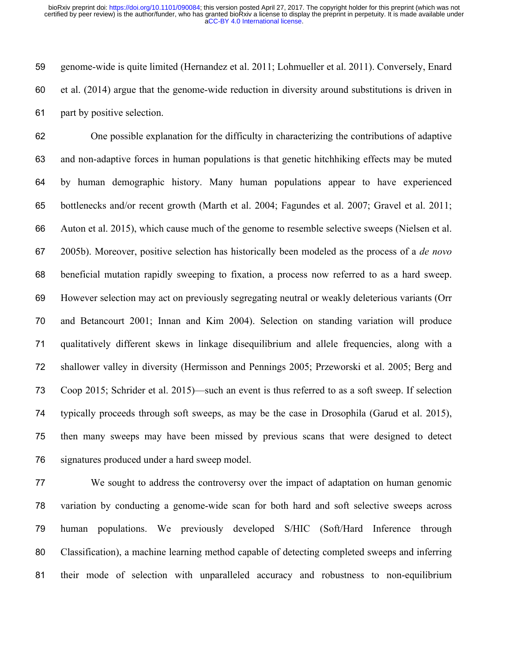genome-wide is quite limited (Hernandez et al. 2011; Lohmueller et al. 2011). Conversely, Enard et al. (2014) argue that the genome-wide reduction in diversity around substitutions is driven in part by positive selection.

 One possible explanation for the difficulty in characterizing the contributions of adaptive and non-adaptive forces in human populations is that genetic hitchhiking effects may be muted by human demographic history. Many human populations appear to have experienced bottlenecks and/or recent growth (Marth et al. 2004; Fagundes et al. 2007; Gravel et al. 2011; Auton et al. 2015), which cause much of the genome to resemble selective sweeps (Nielsen et al. 2005b). Moreover, positive selection has historically been modeled as the process of a *de novo* beneficial mutation rapidly sweeping to fixation, a process now referred to as a hard sweep. However selection may act on previously segregating neutral or weakly deleterious variants (Orr and Betancourt 2001; Innan and Kim 2004). Selection on standing variation will produce qualitatively different skews in linkage disequilibrium and allele frequencies, along with a shallower valley in diversity (Hermisson and Pennings 2005; Przeworski et al. 2005; Berg and Coop 2015; Schrider et al. 2015)—such an event is thus referred to as a soft sweep. If selection typically proceeds through soft sweeps, as may be the case in Drosophila (Garud et al. 2015), then many sweeps may have been missed by previous scans that were designed to detect signatures produced under a hard sweep model.

 We sought to address the controversy over the impact of adaptation on human genomic variation by conducting a genome-wide scan for both hard and soft selective sweeps across human populations. We previously developed S/HIC (Soft/Hard Inference through Classification), a machine learning method capable of detecting completed sweeps and inferring their mode of selection with unparalleled accuracy and robustness to non-equilibrium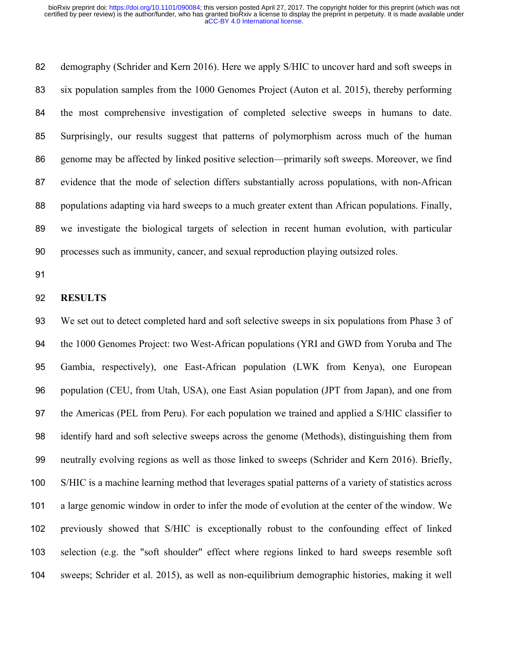82 demography (Schrider and Kern 2016). Here we apply S/HIC to uncover hard and soft sweeps in six population samples from the 1000 Genomes Project (Auton et al. 2015), thereby performing the most comprehensive investigation of completed selective sweeps in humans to date. Surprisingly, our results suggest that patterns of polymorphism across much of the human genome may be affected by linked positive selection—primarily soft sweeps. Moreover, we find evidence that the mode of selection differs substantially across populations, with non-African 88 populations adapting via hard sweeps to a much greater extent than African populations. Finally, we investigate the biological targets of selection in recent human evolution, with particular processes such as immunity, cancer, and sexual reproduction playing outsized roles.

#### **RESULTS**

 We set out to detect completed hard and soft selective sweeps in six populations from Phase 3 of the 1000 Genomes Project: two West-African populations (YRI and GWD from Yoruba and The Gambia, respectively), one East-African population (LWK from Kenya), one European population (CEU, from Utah, USA), one East Asian population (JPT from Japan), and one from the Americas (PEL from Peru). For each population we trained and applied a S/HIC classifier to identify hard and soft selective sweeps across the genome (Methods), distinguishing them from neutrally evolving regions as well as those linked to sweeps (Schrider and Kern 2016). Briefly, S/HIC is a machine learning method that leverages spatial patterns of a variety of statistics across a large genomic window in order to infer the mode of evolution at the center of the window. We previously showed that S/HIC is exceptionally robust to the confounding effect of linked selection (e.g. the "soft shoulder" effect where regions linked to hard sweeps resemble soft sweeps; Schrider et al. 2015), as well as non-equilibrium demographic histories, making it well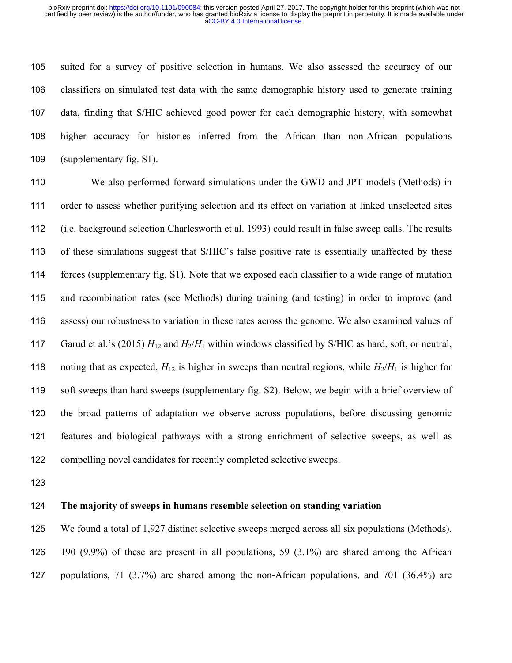suited for a survey of positive selection in humans. We also assessed the accuracy of our classifiers on simulated test data with the same demographic history used to generate training data, finding that S/HIC achieved good power for each demographic history, with somewhat higher accuracy for histories inferred from the African than non-African populations (supplementary fig. S1).

 We also performed forward simulations under the GWD and JPT models (Methods) in order to assess whether purifying selection and its effect on variation at linked unselected sites (i.e. background selection Charlesworth et al. 1993) could result in false sweep calls. The results of these simulations suggest that S/HIC's false positive rate is essentially unaffected by these forces (supplementary fig. S1). Note that we exposed each classifier to a wide range of mutation and recombination rates (see Methods) during training (and testing) in order to improve (and assess) our robustness to variation in these rates across the genome. We also examined values of 117 Garud et al.'s (2015)  $H_{12}$  and  $H_2/H_1$  within windows classified by S/HIC as hard, soft, or neutral, 118 noting that as expected,  $H_{12}$  is higher in sweeps than neutral regions, while  $H_2/H_1$  is higher for soft sweeps than hard sweeps (supplementary fig. S2). Below, we begin with a brief overview of the broad patterns of adaptation we observe across populations, before discussing genomic features and biological pathways with a strong enrichment of selective sweeps, as well as compelling novel candidates for recently completed selective sweeps.

# **The majority of sweeps in humans resemble selection on standing variation**

 We found a total of 1,927 distinct selective sweeps merged across all six populations (Methods). 190 (9.9%) of these are present in all populations, 59 (3.1%) are shared among the African populations, 71 (3.7%) are shared among the non-African populations, and 701 (36.4%) are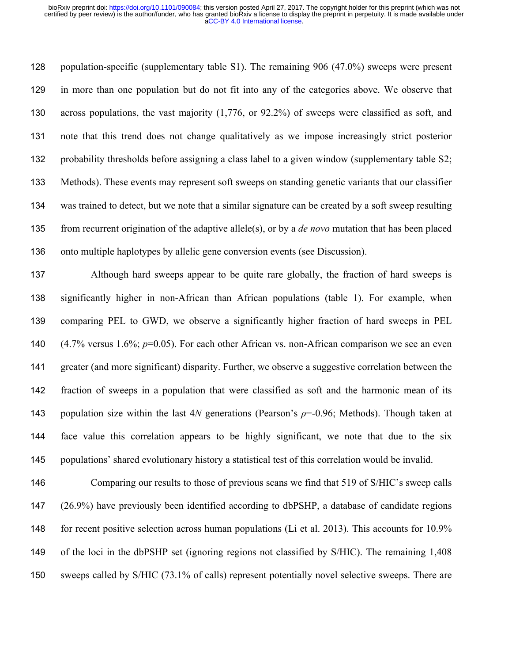population-specific (supplementary table S1). The remaining 906 (47.0%) sweeps were present in more than one population but do not fit into any of the categories above. We observe that across populations, the vast majority (1,776, or 92.2%) of sweeps were classified as soft, and note that this trend does not change qualitatively as we impose increasingly strict posterior probability thresholds before assigning a class label to a given window (supplementary table S2; Methods). These events may represent soft sweeps on standing genetic variants that our classifier was trained to detect, but we note that a similar signature can be created by a soft sweep resulting from recurrent origination of the adaptive allele(s), or by a *de novo* mutation that has been placed onto multiple haplotypes by allelic gene conversion events (see Discussion).

 Although hard sweeps appear to be quite rare globally, the fraction of hard sweeps is significantly higher in non-African than African populations (table 1). For example, when comparing PEL to GWD, we observe a significantly higher fraction of hard sweeps in PEL (4.7% versus 1.6%; *p*=0.05). For each other African vs. non-African comparison we see an even greater (and more significant) disparity. Further, we observe a suggestive correlation between the fraction of sweeps in a population that were classified as soft and the harmonic mean of its population size within the last 4*N* generations (Pearson's *ρ*=-0.96; Methods). Though taken at face value this correlation appears to be highly significant, we note that due to the six populations' shared evolutionary history a statistical test of this correlation would be invalid.

 Comparing our results to those of previous scans we find that 519 of S/HIC's sweep calls (26.9%) have previously been identified according to dbPSHP, a database of candidate regions for recent positive selection across human populations (Li et al. 2013). This accounts for 10.9% of the loci in the dbPSHP set (ignoring regions not classified by S/HIC). The remaining 1,408 sweeps called by S/HIC (73.1% of calls) represent potentially novel selective sweeps. There are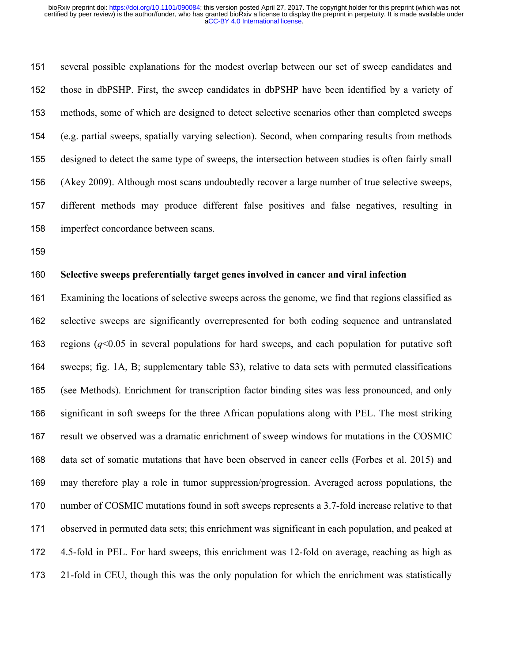several possible explanations for the modest overlap between our set of sweep candidates and those in dbPSHP. First, the sweep candidates in dbPSHP have been identified by a variety of methods, some of which are designed to detect selective scenarios other than completed sweeps (e.g. partial sweeps, spatially varying selection). Second, when comparing results from methods designed to detect the same type of sweeps, the intersection between studies is often fairly small (Akey 2009). Although most scans undoubtedly recover a large number of true selective sweeps, different methods may produce different false positives and false negatives, resulting in imperfect concordance between scans.

# **Selective sweeps preferentially target genes involved in cancer and viral infection**

 Examining the locations of selective sweeps across the genome, we find that regions classified as selective sweeps are significantly overrepresented for both coding sequence and untranslated regions (*q*<0.05 in several populations for hard sweeps, and each population for putative soft sweeps; fig. 1A, B; supplementary table S3), relative to data sets with permuted classifications (see Methods). Enrichment for transcription factor binding sites was less pronounced, and only significant in soft sweeps for the three African populations along with PEL. The most striking result we observed was a dramatic enrichment of sweep windows for mutations in the COSMIC data set of somatic mutations that have been observed in cancer cells (Forbes et al. 2015) and may therefore play a role in tumor suppression/progression. Averaged across populations, the number of COSMIC mutations found in soft sweeps represents a 3.7-fold increase relative to that observed in permuted data sets; this enrichment was significant in each population, and peaked at 4.5-fold in PEL. For hard sweeps, this enrichment was 12-fold on average, reaching as high as 21-fold in CEU, though this was the only population for which the enrichment was statistically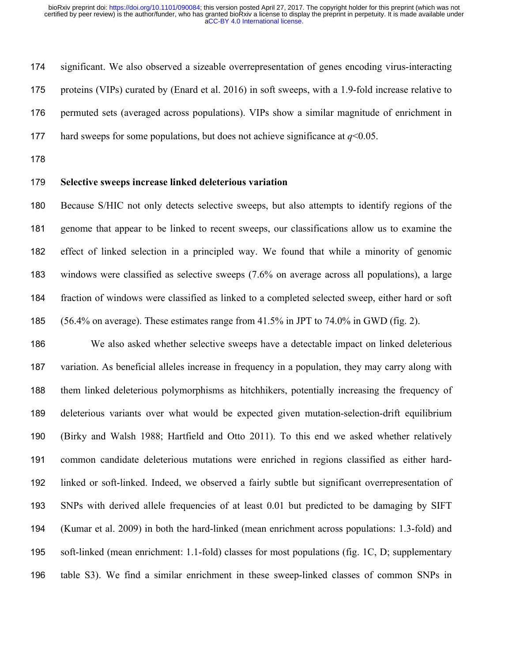significant. We also observed a sizeable overrepresentation of genes encoding virus-interacting proteins (VIPs) curated by (Enard et al. 2016) in soft sweeps, with a 1.9-fold increase relative to permuted sets (averaged across populations). VIPs show a similar magnitude of enrichment in 177 hard sweeps for some populations, but does not achieve significance at  $q<0.05$ .

# **Selective sweeps increase linked deleterious variation**

 Because S/HIC not only detects selective sweeps, but also attempts to identify regions of the genome that appear to be linked to recent sweeps, our classifications allow us to examine the effect of linked selection in a principled way. We found that while a minority of genomic windows were classified as selective sweeps (7.6% on average across all populations), a large fraction of windows were classified as linked to a completed selected sweep, either hard or soft (56.4% on average). These estimates range from 41.5% in JPT to 74.0% in GWD (fig. 2).

 We also asked whether selective sweeps have a detectable impact on linked deleterious variation. As beneficial alleles increase in frequency in a population, they may carry along with them linked deleterious polymorphisms as hitchhikers, potentially increasing the frequency of deleterious variants over what would be expected given mutation-selection-drift equilibrium (Birky and Walsh 1988; Hartfield and Otto 2011). To this end we asked whether relatively common candidate deleterious mutations were enriched in regions classified as either hard- linked or soft-linked. Indeed, we observed a fairly subtle but significant overrepresentation of SNPs with derived allele frequencies of at least 0.01 but predicted to be damaging by SIFT (Kumar et al. 2009) in both the hard-linked (mean enrichment across populations: 1.3-fold) and soft-linked (mean enrichment: 1.1-fold) classes for most populations (fig. 1C, D; supplementary table S3). We find a similar enrichment in these sweep-linked classes of common SNPs in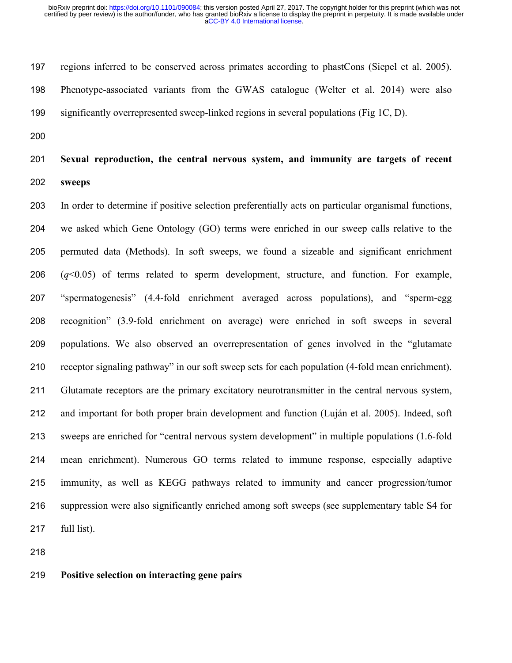regions inferred to be conserved across primates according to phastCons (Siepel et al. 2005). Phenotype-associated variants from the GWAS catalogue (Welter et al. 2014) were also significantly overrepresented sweep-linked regions in several populations (Fig 1C, D).

# **Sexual reproduction, the central nervous system, and immunity are targets of recent sweeps**

 In order to determine if positive selection preferentially acts on particular organismal functions, we asked which Gene Ontology (GO) terms were enriched in our sweep calls relative to the permuted data (Methods). In soft sweeps, we found a sizeable and significant enrichment (*q*<0.05) of terms related to sperm development, structure, and function. For example, "spermatogenesis" (4.4-fold enrichment averaged across populations), and "sperm-egg recognition" (3.9-fold enrichment on average) were enriched in soft sweeps in several populations. We also observed an overrepresentation of genes involved in the "glutamate receptor signaling pathway" in our soft sweep sets for each population (4-fold mean enrichment). Glutamate receptors are the primary excitatory neurotransmitter in the central nervous system, and important for both proper brain development and function (Luján et al. 2005). Indeed, soft sweeps are enriched for "central nervous system development" in multiple populations (1.6-fold mean enrichment). Numerous GO terms related to immune response, especially adaptive immunity, as well as KEGG pathways related to immunity and cancer progression/tumor suppression were also significantly enriched among soft sweeps (see supplementary table S4 for full list).

### **Positive selection on interacting gene pairs**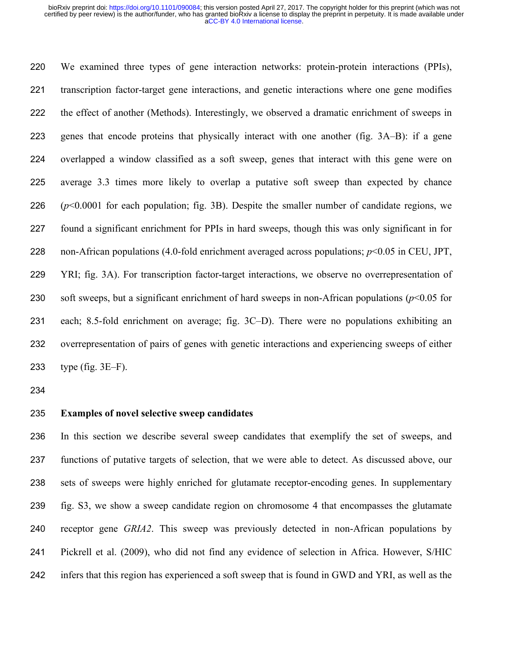We examined three types of gene interaction networks: protein-protein interactions (PPIs), transcription factor-target gene interactions, and genetic interactions where one gene modifies the effect of another (Methods). Interestingly, we observed a dramatic enrichment of sweeps in genes that encode proteins that physically interact with one another (fig. 3A–B): if a gene overlapped a window classified as a soft sweep, genes that interact with this gene were on average 3.3 times more likely to overlap a putative soft sweep than expected by chance (*p*<0.0001 for each population; fig. 3B). Despite the smaller number of candidate regions, we found a significant enrichment for PPIs in hard sweeps, though this was only significant in for non-African populations (4.0-fold enrichment averaged across populations; *p*<0.05 in CEU, JPT, YRI; fig. 3A). For transcription factor-target interactions, we observe no overrepresentation of 230 soft sweeps, but a significant enrichment of hard sweeps in non-African populations  $(p<0.05$  for each; 8.5-fold enrichment on average; fig. 3C–D). There were no populations exhibiting an overrepresentation of pairs of genes with genetic interactions and experiencing sweeps of either type (fig. 3E–F).

#### **Examples of novel selective sweep candidates**

 In this section we describe several sweep candidates that exemplify the set of sweeps, and functions of putative targets of selection, that we were able to detect. As discussed above, our sets of sweeps were highly enriched for glutamate receptor-encoding genes. In supplementary fig. S3, we show a sweep candidate region on chromosome 4 that encompasses the glutamate receptor gene *GRIA2*. This sweep was previously detected in non-African populations by Pickrell et al. (2009), who did not find any evidence of selection in Africa. However, S/HIC infers that this region has experienced a soft sweep that is found in GWD and YRI, as well as the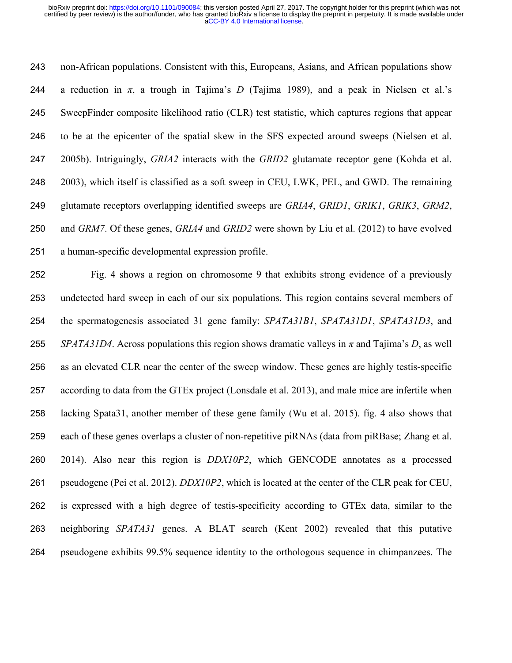non-African populations. Consistent with this, Europeans, Asians, and African populations show 244 a reduction in  $\pi$ , a trough in Tajima's *D* (Tajima 1989), and a peak in Nielsen et al.'s SweepFinder composite likelihood ratio (CLR) test statistic, which captures regions that appear to be at the epicenter of the spatial skew in the SFS expected around sweeps (Nielsen et al. 2005b). Intriguingly, *GRIA2* interacts with the *GRID2* glutamate receptor gene (Kohda et al. 2003), which itself is classified as a soft sweep in CEU, LWK, PEL, and GWD. The remaining glutamate receptors overlapping identified sweeps are *GRIA4*, *GRID1*, *GRIK1*, *GRIK3*, *GRM2*, and *GRM7*. Of these genes, *GRIA4* and *GRID2* were shown by Liu et al. (2012) to have evolved a human-specific developmental expression profile.

 Fig. 4 shows a region on chromosome 9 that exhibits strong evidence of a previously undetected hard sweep in each of our six populations. This region contains several members of the spermatogenesis associated 31 gene family: *SPATA31B1*, *SPATA31D1*, *SPATA31D3*, and *SPATA31D4*. Across populations this region shows dramatic valleys in *π* and Tajima's *D*, as well as an elevated CLR near the center of the sweep window. These genes are highly testis-specific according to data from the GTEx project (Lonsdale et al. 2013), and male mice are infertile when lacking Spata31, another member of these gene family (Wu et al. 2015). fig. 4 also shows that each of these genes overlaps a cluster of non-repetitive piRNAs (data from piRBase; Zhang et al. 2014). Also near this region is *DDX10P2*, which GENCODE annotates as a processed pseudogene (Pei et al. 2012). *DDX10P2*, which is located at the center of the CLR peak for CEU, is expressed with a high degree of testis-specificity according to GTEx data, similar to the neighboring *SPATA31* genes. A BLAT search (Kent 2002) revealed that this putative pseudogene exhibits 99.5% sequence identity to the orthologous sequence in chimpanzees. The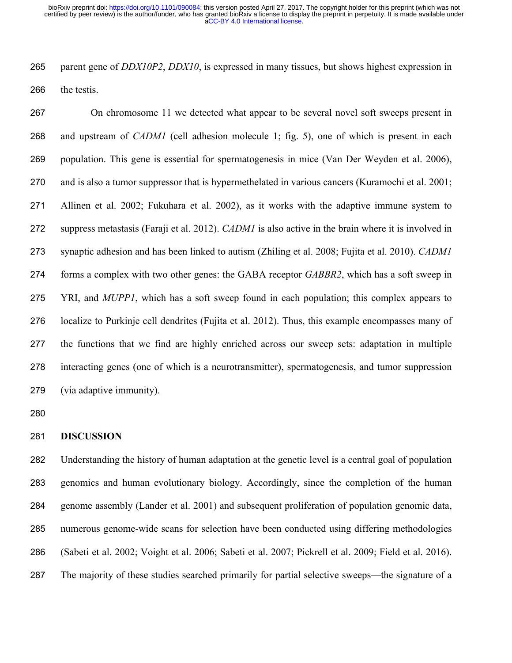parent gene of *DDX10P2*, *DDX10*, is expressed in many tissues, but shows highest expression in 266 the testis.

 On chromosome 11 we detected what appear to be several novel soft sweeps present in and upstream of *CADM1* (cell adhesion molecule 1; fig. 5), one of which is present in each population. This gene is essential for spermatogenesis in mice (Van Der Weyden et al. 2006), and is also a tumor suppressor that is hypermethelated in various cancers (Kuramochi et al. 2001; Allinen et al. 2002; Fukuhara et al. 2002), as it works with the adaptive immune system to suppress metastasis (Faraji et al. 2012). *CADM1* is also active in the brain where it is involved in synaptic adhesion and has been linked to autism (Zhiling et al. 2008; Fujita et al. 2010). *CADM1* forms a complex with two other genes: the GABA receptor *GABBR2*, which has a soft sweep in YRI, and *MUPP1*, which has a soft sweep found in each population; this complex appears to localize to Purkinje cell dendrites (Fujita et al. 2012). Thus, this example encompasses many of the functions that we find are highly enriched across our sweep sets: adaptation in multiple interacting genes (one of which is a neurotransmitter), spermatogenesis, and tumor suppression (via adaptive immunity).

#### **DISCUSSION**

 Understanding the history of human adaptation at the genetic level is a central goal of population genomics and human evolutionary biology. Accordingly, since the completion of the human genome assembly (Lander et al. 2001) and subsequent proliferation of population genomic data, numerous genome-wide scans for selection have been conducted using differing methodologies (Sabeti et al. 2002; Voight et al. 2006; Sabeti et al. 2007; Pickrell et al. 2009; Field et al. 2016). The majority of these studies searched primarily for partial selective sweeps—the signature of a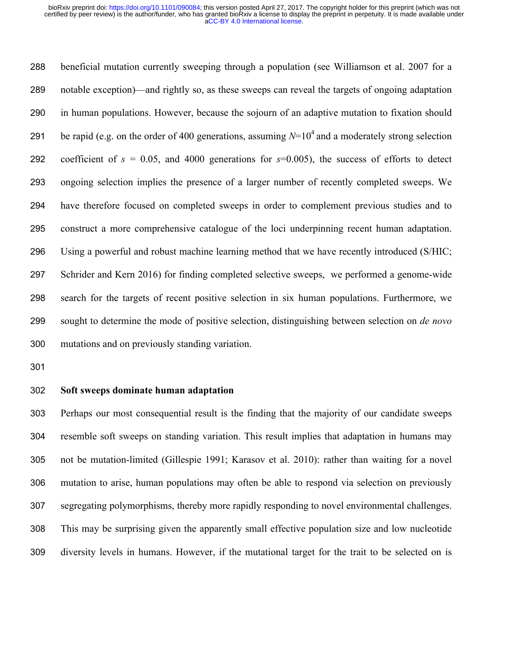beneficial mutation currently sweeping through a population (see Williamson et al. 2007 for a notable exception)—and rightly so, as these sweeps can reveal the targets of ongoing adaptation in human populations. However, because the sojourn of an adaptive mutation to fixation should 291 be rapid (e.g. on the order of 400 generations, assuming  $N=10^4$  and a moderately strong selection coefficient of *s* = 0.05, and 4000 generations for *s*=0.005), the success of efforts to detect ongoing selection implies the presence of a larger number of recently completed sweeps. We have therefore focused on completed sweeps in order to complement previous studies and to construct a more comprehensive catalogue of the loci underpinning recent human adaptation. Using a powerful and robust machine learning method that we have recently introduced (S/HIC; Schrider and Kern 2016) for finding completed selective sweeps, we performed a genome-wide search for the targets of recent positive selection in six human populations. Furthermore, we sought to determine the mode of positive selection, distinguishing between selection on *de novo* mutations and on previously standing variation.

## **Soft sweeps dominate human adaptation**

 Perhaps our most consequential result is the finding that the majority of our candidate sweeps resemble soft sweeps on standing variation. This result implies that adaptation in humans may not be mutation-limited (Gillespie 1991; Karasov et al. 2010): rather than waiting for a novel mutation to arise, human populations may often be able to respond via selection on previously segregating polymorphisms, thereby more rapidly responding to novel environmental challenges. This may be surprising given the apparently small effective population size and low nucleotide diversity levels in humans. However, if the mutational target for the trait to be selected on is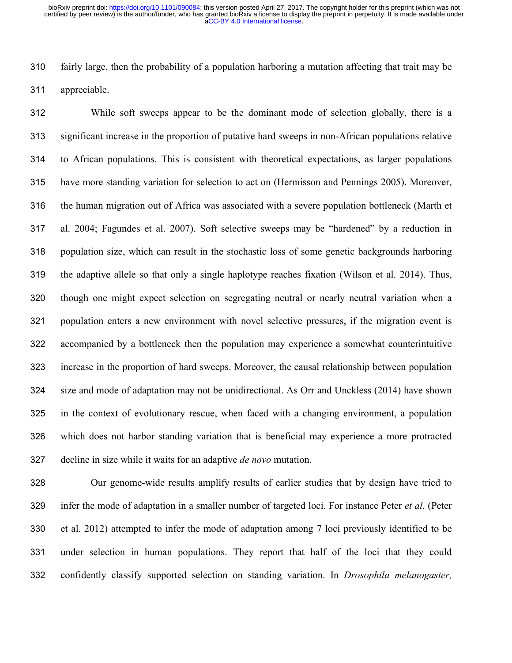fairly large, then the probability of a population harboring a mutation affecting that trait may be appreciable.

 While soft sweeps appear to be the dominant mode of selection globally, there is a significant increase in the proportion of putative hard sweeps in non-African populations relative to African populations. This is consistent with theoretical expectations, as larger populations have more standing variation for selection to act on (Hermisson and Pennings 2005). Moreover, the human migration out of Africa was associated with a severe population bottleneck (Marth et al. 2004; Fagundes et al. 2007). Soft selective sweeps may be "hardened" by a reduction in population size, which can result in the stochastic loss of some genetic backgrounds harboring the adaptive allele so that only a single haplotype reaches fixation (Wilson et al. 2014). Thus, though one might expect selection on segregating neutral or nearly neutral variation when a population enters a new environment with novel selective pressures, if the migration event is accompanied by a bottleneck then the population may experience a somewhat counterintuitive increase in the proportion of hard sweeps. Moreover, the causal relationship between population size and mode of adaptation may not be unidirectional. As Orr and Unckless (2014) have shown in the context of evolutionary rescue, when faced with a changing environment, a population which does not harbor standing variation that is beneficial may experience a more protracted decline in size while it waits for an adaptive *de novo* mutation.

 Our genome-wide results amplify results of earlier studies that by design have tried to infer the mode of adaptation in a smaller number of targeted loci. For instance Peter *et al.* (Peter et al. 2012) attempted to infer the mode of adaptation among 7 loci previously identified to be under selection in human populations. They report that half of the loci that they could confidently classify supported selection on standing variation. In *Drosophila melanogaster,*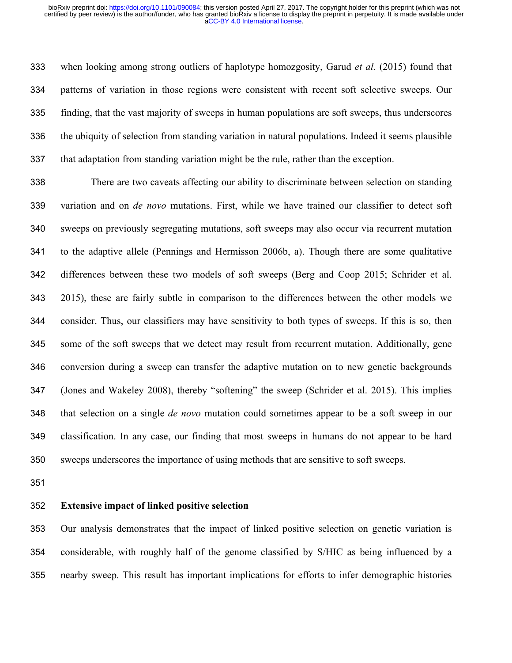when looking among strong outliers of haplotype homozgosity, Garud *et al.* (2015) found that patterns of variation in those regions were consistent with recent soft selective sweeps. Our finding, that the vast majority of sweeps in human populations are soft sweeps, thus underscores the ubiquity of selection from standing variation in natural populations. Indeed it seems plausible that adaptation from standing variation might be the rule, rather than the exception.

 There are two caveats affecting our ability to discriminate between selection on standing variation and on *de novo* mutations. First, while we have trained our classifier to detect soft sweeps on previously segregating mutations, soft sweeps may also occur via recurrent mutation to the adaptive allele (Pennings and Hermisson 2006b, a). Though there are some qualitative differences between these two models of soft sweeps (Berg and Coop 2015; Schrider et al. 2015), these are fairly subtle in comparison to the differences between the other models we consider. Thus, our classifiers may have sensitivity to both types of sweeps. If this is so, then some of the soft sweeps that we detect may result from recurrent mutation. Additionally, gene conversion during a sweep can transfer the adaptive mutation on to new genetic backgrounds (Jones and Wakeley 2008), thereby "softening" the sweep (Schrider et al. 2015). This implies that selection on a single *de novo* mutation could sometimes appear to be a soft sweep in our classification. In any case, our finding that most sweeps in humans do not appear to be hard sweeps underscores the importance of using methods that are sensitive to soft sweeps.

- 
- **Extensive impact of linked positive selection**

 Our analysis demonstrates that the impact of linked positive selection on genetic variation is considerable, with roughly half of the genome classified by S/HIC as being influenced by a nearby sweep. This result has important implications for efforts to infer demographic histories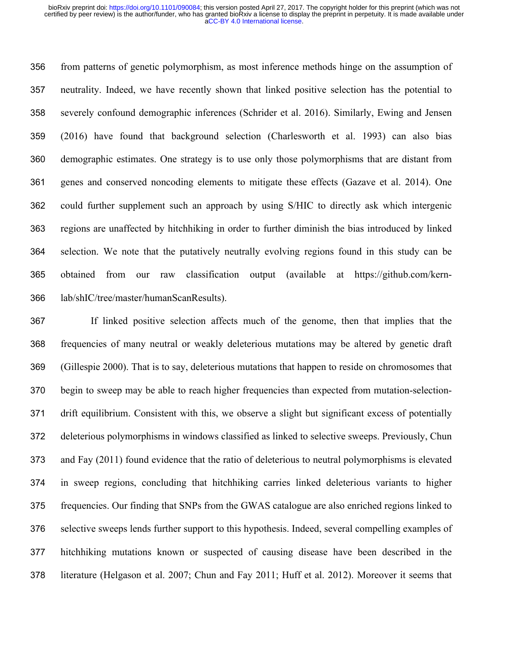from patterns of genetic polymorphism, as most inference methods hinge on the assumption of neutrality. Indeed, we have recently shown that linked positive selection has the potential to severely confound demographic inferences (Schrider et al. 2016). Similarly, Ewing and Jensen (2016) have found that background selection (Charlesworth et al. 1993) can also bias demographic estimates. One strategy is to use only those polymorphisms that are distant from genes and conserved noncoding elements to mitigate these effects (Gazave et al. 2014). One could further supplement such an approach by using S/HIC to directly ask which intergenic regions are unaffected by hitchhiking in order to further diminish the bias introduced by linked selection. We note that the putatively neutrally evolving regions found in this study can be obtained from our raw classification output (available at https://github.com/kern-lab/shIC/tree/master/humanScanResults).

 If linked positive selection affects much of the genome, then that implies that the frequencies of many neutral or weakly deleterious mutations may be altered by genetic draft (Gillespie 2000). That is to say, deleterious mutations that happen to reside on chromosomes that begin to sweep may be able to reach higher frequencies than expected from mutation-selection- drift equilibrium. Consistent with this, we observe a slight but significant excess of potentially deleterious polymorphisms in windows classified as linked to selective sweeps. Previously, Chun and Fay (2011) found evidence that the ratio of deleterious to neutral polymorphisms is elevated in sweep regions, concluding that hitchhiking carries linked deleterious variants to higher frequencies. Our finding that SNPs from the GWAS catalogue are also enriched regions linked to selective sweeps lends further support to this hypothesis. Indeed, several compelling examples of hitchhiking mutations known or suspected of causing disease have been described in the literature (Helgason et al. 2007; Chun and Fay 2011; Huff et al. 2012). Moreover it seems that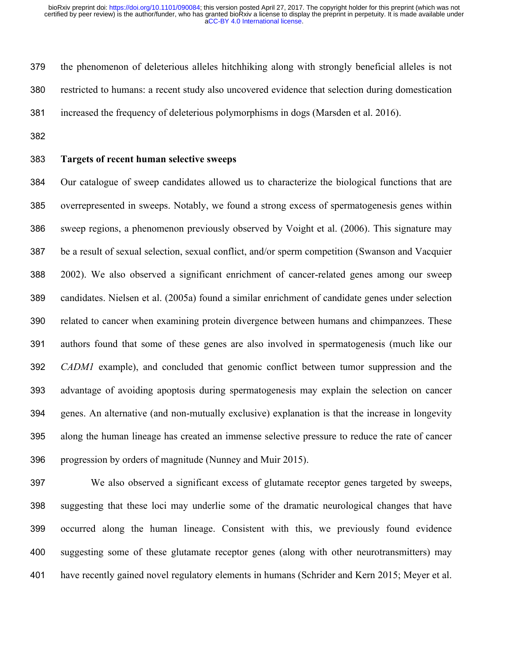the phenomenon of deleterious alleles hitchhiking along with strongly beneficial alleles is not restricted to humans: a recent study also uncovered evidence that selection during domestication

increased the frequency of deleterious polymorphisms in dogs (Marsden et al. 2016).

# **Targets of recent human selective sweeps**

 Our catalogue of sweep candidates allowed us to characterize the biological functions that are overrepresented in sweeps. Notably, we found a strong excess of spermatogenesis genes within sweep regions, a phenomenon previously observed by Voight et al. (2006). This signature may be a result of sexual selection, sexual conflict, and/or sperm competition (Swanson and Vacquier 2002). We also observed a significant enrichment of cancer-related genes among our sweep candidates. Nielsen et al. (2005a) found a similar enrichment of candidate genes under selection related to cancer when examining protein divergence between humans and chimpanzees. These authors found that some of these genes are also involved in spermatogenesis (much like our *CADM1* example), and concluded that genomic conflict between tumor suppression and the advantage of avoiding apoptosis during spermatogenesis may explain the selection on cancer genes. An alternative (and non-mutually exclusive) explanation is that the increase in longevity along the human lineage has created an immense selective pressure to reduce the rate of cancer progression by orders of magnitude (Nunney and Muir 2015).

 We also observed a significant excess of glutamate receptor genes targeted by sweeps, suggesting that these loci may underlie some of the dramatic neurological changes that have occurred along the human lineage. Consistent with this, we previously found evidence suggesting some of these glutamate receptor genes (along with other neurotransmitters) may have recently gained novel regulatory elements in humans (Schrider and Kern 2015; Meyer et al.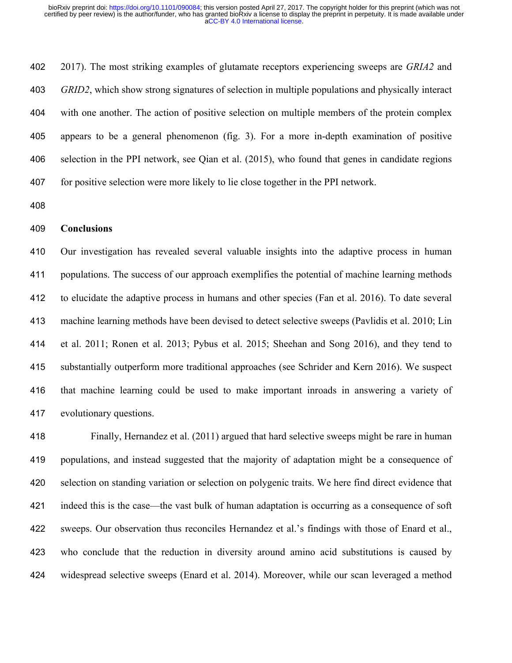2017). The most striking examples of glutamate receptors experiencing sweeps are *GRIA2* and *GRID2*, which show strong signatures of selection in multiple populations and physically interact with one another. The action of positive selection on multiple members of the protein complex appears to be a general phenomenon (fig. 3). For a more in-depth examination of positive selection in the PPI network, see Qian et al. (2015), who found that genes in candidate regions for positive selection were more likely to lie close together in the PPI network.

## **Conclusions**

 Our investigation has revealed several valuable insights into the adaptive process in human populations. The success of our approach exemplifies the potential of machine learning methods to elucidate the adaptive process in humans and other species (Fan et al. 2016). To date several machine learning methods have been devised to detect selective sweeps (Pavlidis et al. 2010; Lin et al. 2011; Ronen et al. 2013; Pybus et al. 2015; Sheehan and Song 2016), and they tend to substantially outperform more traditional approaches (see Schrider and Kern 2016). We suspect that machine learning could be used to make important inroads in answering a variety of evolutionary questions.

 Finally, Hernandez et al. (2011) argued that hard selective sweeps might be rare in human populations, and instead suggested that the majority of adaptation might be a consequence of selection on standing variation or selection on polygenic traits. We here find direct evidence that indeed this is the case—the vast bulk of human adaptation is occurring as a consequence of soft sweeps. Our observation thus reconciles Hernandez et al.'s findings with those of Enard et al., who conclude that the reduction in diversity around amino acid substitutions is caused by widespread selective sweeps (Enard et al. 2014). Moreover, while our scan leveraged a method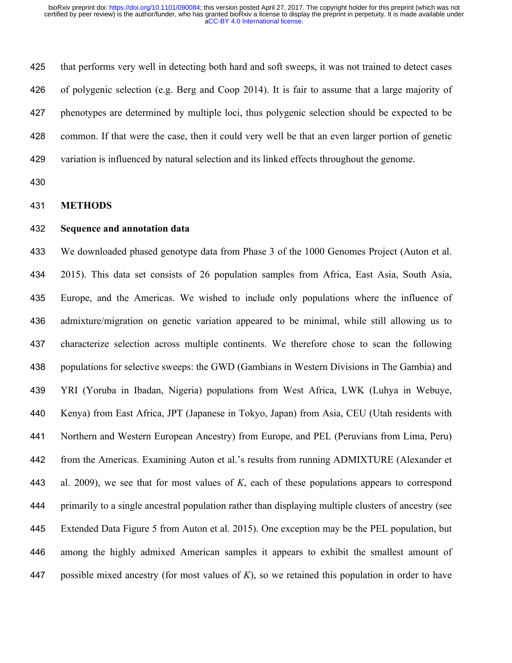that performs very well in detecting both hard and soft sweeps, it was not trained to detect cases of polygenic selection (e.g. Berg and Coop 2014). It is fair to assume that a large majority of phenotypes are determined by multiple loci, thus polygenic selection should be expected to be common. If that were the case, then it could very well be that an even larger portion of genetic variation is influenced by natural selection and its linked effects throughout the genome.

#### **METHODS**

#### **Sequence and annotation data**

 We downloaded phased genotype data from Phase 3 of the 1000 Genomes Project (Auton et al. 2015). This data set consists of 26 population samples from Africa, East Asia, South Asia, Europe, and the Americas. We wished to include only populations where the influence of admixture/migration on genetic variation appeared to be minimal, while still allowing us to characterize selection across multiple continents. We therefore chose to scan the following populations for selective sweeps: the GWD (Gambians in Western Divisions in The Gambia) and YRI (Yoruba in Ibadan, Nigeria) populations from West Africa, LWK (Luhya in Webuye, Kenya) from East Africa, JPT (Japanese in Tokyo, Japan) from Asia, CEU (Utah residents with Northern and Western European Ancestry) from Europe, and PEL (Peruvians from Lima, Peru) from the Americas. Examining Auton et al.'s results from running ADMIXTURE (Alexander et al. 2009), we see that for most values of *K*, each of these populations appears to correspond primarily to a single ancestral population rather than displaying multiple clusters of ancestry (see Extended Data Figure 5 from Auton et al. 2015). One exception may be the PEL population, but among the highly admixed American samples it appears to exhibit the smallest amount of possible mixed ancestry (for most values of *K*), so we retained this population in order to have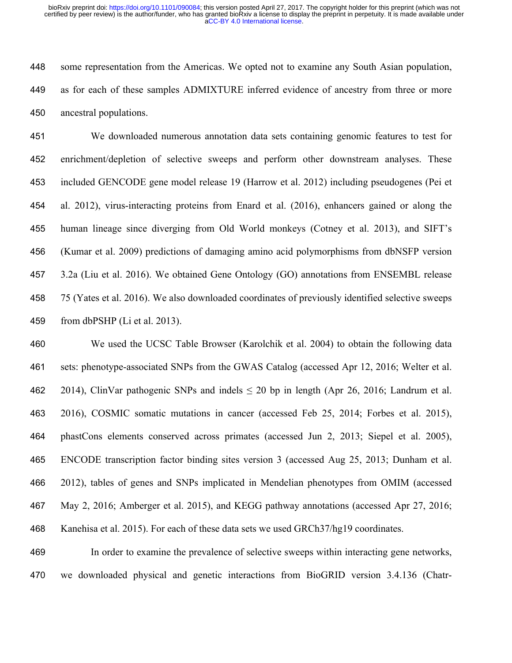some representation from the Americas. We opted not to examine any South Asian population, as for each of these samples ADMIXTURE inferred evidence of ancestry from three or more ancestral populations.

 We downloaded numerous annotation data sets containing genomic features to test for enrichment/depletion of selective sweeps and perform other downstream analyses. These included GENCODE gene model release 19 (Harrow et al. 2012) including pseudogenes (Pei et al. 2012), virus-interacting proteins from Enard et al. (2016), enhancers gained or along the human lineage since diverging from Old World monkeys (Cotney et al. 2013), and SIFT's (Kumar et al. 2009) predictions of damaging amino acid polymorphisms from dbNSFP version 3.2a (Liu et al. 2016). We obtained Gene Ontology (GO) annotations from ENSEMBL release 75 (Yates et al. 2016). We also downloaded coordinates of previously identified selective sweeps from dbPSHP (Li et al. 2013).

 We used the UCSC Table Browser (Karolchik et al. 2004) to obtain the following data sets: phenotype-associated SNPs from the GWAS Catalog (accessed Apr 12, 2016; Welter et al. 462 2014), ClinVar pathogenic SNPs and indels  $\leq$  20 bp in length (Apr 26, 2016; Landrum et al. 2016), COSMIC somatic mutations in cancer (accessed Feb 25, 2014; Forbes et al. 2015), phastCons elements conserved across primates (accessed Jun 2, 2013; Siepel et al. 2005), ENCODE transcription factor binding sites version 3 (accessed Aug 25, 2013; Dunham et al. 2012), tables of genes and SNPs implicated in Mendelian phenotypes from OMIM (accessed May 2, 2016; Amberger et al. 2015), and KEGG pathway annotations (accessed Apr 27, 2016; Kanehisa et al. 2015). For each of these data sets we used GRCh37/hg19 coordinates.

 In order to examine the prevalence of selective sweeps within interacting gene networks, we downloaded physical and genetic interactions from BioGRID version 3.4.136 (Chatr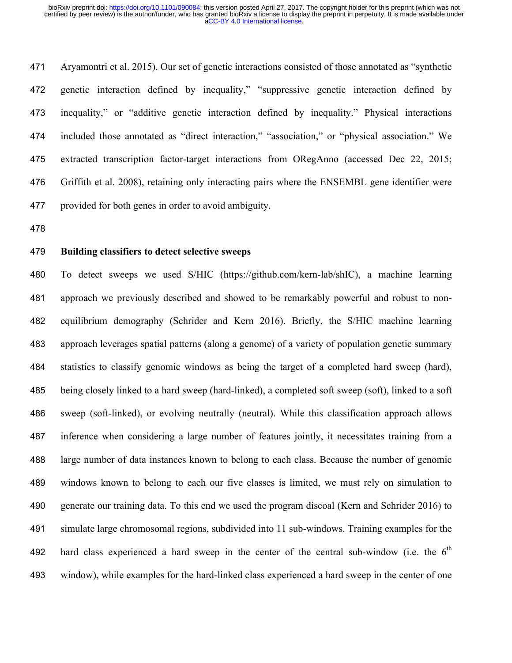Aryamontri et al. 2015). Our set of genetic interactions consisted of those annotated as "synthetic genetic interaction defined by inequality," "suppressive genetic interaction defined by inequality," or "additive genetic interaction defined by inequality." Physical interactions included those annotated as "direct interaction," "association," or "physical association." We extracted transcription factor-target interactions from ORegAnno (accessed Dec 22, 2015; Griffith et al. 2008), retaining only interacting pairs where the ENSEMBL gene identifier were provided for both genes in order to avoid ambiguity.

#### **Building classifiers to detect selective sweeps**

 To detect sweeps we used S/HIC (https://github.com/kern-lab/shIC), a machine learning approach we previously described and showed to be remarkably powerful and robust to non- equilibrium demography (Schrider and Kern 2016). Briefly, the S/HIC machine learning approach leverages spatial patterns (along a genome) of a variety of population genetic summary statistics to classify genomic windows as being the target of a completed hard sweep (hard), being closely linked to a hard sweep (hard-linked), a completed soft sweep (soft), linked to a soft sweep (soft-linked), or evolving neutrally (neutral). While this classification approach allows inference when considering a large number of features jointly, it necessitates training from a large number of data instances known to belong to each class. Because the number of genomic windows known to belong to each our five classes is limited, we must rely on simulation to generate our training data. To this end we used the program discoal (Kern and Schrider 2016) to simulate large chromosomal regions, subdivided into 11 sub-windows. Training examples for the 492 hard class experienced a hard sweep in the center of the central sub-window (i.e. the  $6<sup>th</sup>$ window), while examples for the hard-linked class experienced a hard sweep in the center of one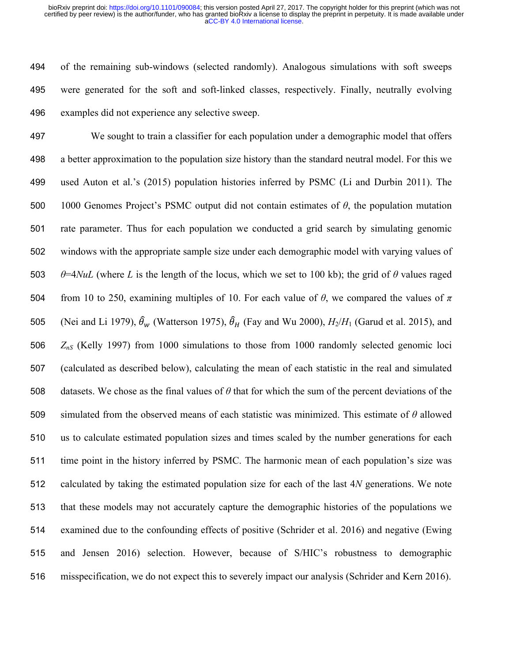of the remaining sub-windows (selected randomly). Analogous simulations with soft sweeps were generated for the soft and soft-linked classes, respectively. Finally, neutrally evolving examples did not experience any selective sweep.

 We sought to train a classifier for each population under a demographic model that offers a better approximation to the population size history than the standard neutral model. For this we used Auton et al.'s (2015) population histories inferred by PSMC (Li and Durbin 2011). The 1000 Genomes Project's PSMC output did not contain estimates of *θ*, the population mutation rate parameter. Thus for each population we conducted a grid search by simulating genomic windows with the appropriate sample size under each demographic model with varying values of *θ*=4*NuL* (where *L* is the length of the locus, which we set to 100 kb); the grid of *θ* values raged 504 from 10 to 250, examining multiples of 10. For each value of  $\theta$ , we compared the values of  $\pi$ 505 (Nei and Li 1979),  $\hat{\theta}_w$  (Watterson 1975),  $\hat{\theta}_H$  (Fay and Wu 2000),  $H_2/H_1$  (Garud et al. 2015), and *ZnS* (Kelly 1997) from 1000 simulations to those from 1000 randomly selected genomic loci (calculated as described below), calculating the mean of each statistic in the real and simulated datasets. We chose as the final values of *θ* that for which the sum of the percent deviations of the simulated from the observed means of each statistic was minimized. This estimate of *θ* allowed us to calculate estimated population sizes and times scaled by the number generations for each time point in the history inferred by PSMC. The harmonic mean of each population's size was calculated by taking the estimated population size for each of the last 4*N* generations. We note that these models may not accurately capture the demographic histories of the populations we examined due to the confounding effects of positive (Schrider et al. 2016) and negative (Ewing and Jensen 2016) selection. However, because of S/HIC's robustness to demographic misspecification, we do not expect this to severely impact our analysis (Schrider and Kern 2016).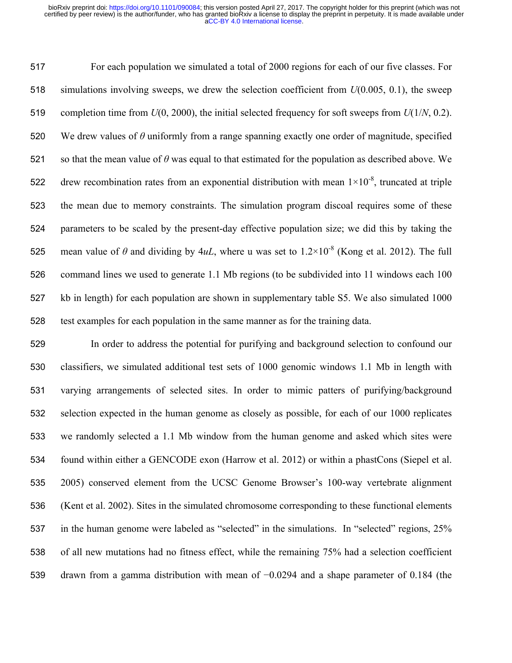For each population we simulated a total of 2000 regions for each of our five classes. For simulations involving sweeps, we drew the selection coefficient from *U*(0.005, 0.1), the sweep completion time from *U*(0, 2000), the initial selected frequency for soft sweeps from *U*(1/*N*, 0.2). We drew values of *θ* uniformly from a range spanning exactly one order of magnitude, specified so that the mean value of *θ* was equal to that estimated for the population as described above. We 522 drew recombination rates from an exponential distribution with mean  $1\times10^{-8}$ , truncated at triple the mean due to memory constraints. The simulation program discoal requires some of these parameters to be scaled by the present-day effective population size; we did this by taking the 525 mean value of  $\theta$  and dividing by 4*uL*, where u was set to  $1.2 \times 10^{-8}$  (Kong et al. 2012). The full command lines we used to generate 1.1 Mb regions (to be subdivided into 11 windows each 100 kb in length) for each population are shown in supplementary table S5. We also simulated 1000 test examples for each population in the same manner as for the training data.

 In order to address the potential for purifying and background selection to confound our classifiers, we simulated additional test sets of 1000 genomic windows 1.1 Mb in length with varying arrangements of selected sites. In order to mimic patters of purifying/background selection expected in the human genome as closely as possible, for each of our 1000 replicates we randomly selected a 1.1 Mb window from the human genome and asked which sites were found within either a GENCODE exon (Harrow et al. 2012) or within a phastCons (Siepel et al. 2005) conserved element from the UCSC Genome Browser's 100-way vertebrate alignment (Kent et al. 2002). Sites in the simulated chromosome corresponding to these functional elements in the human genome were labeled as "selected" in the simulations. In "selected" regions, 25% of all new mutations had no fitness effect, while the remaining 75% had a selection coefficient drawn from a gamma distribution with mean of −0.0294 and a shape parameter of 0.184 (the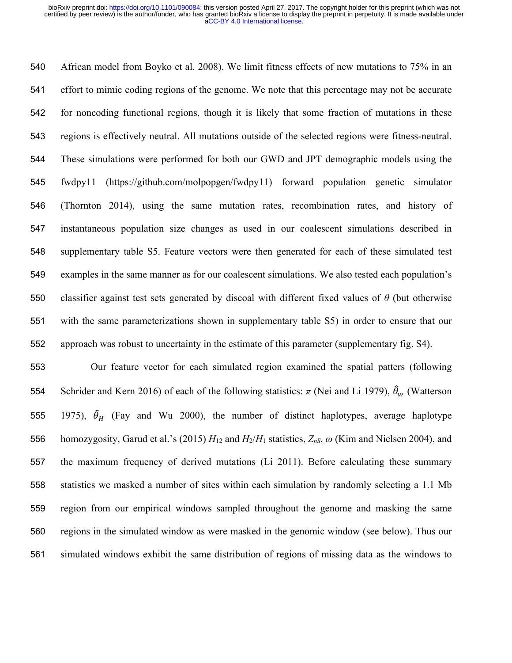African model from Boyko et al. 2008). We limit fitness effects of new mutations to 75% in an effort to mimic coding regions of the genome. We note that this percentage may not be accurate for noncoding functional regions, though it is likely that some fraction of mutations in these regions is effectively neutral. All mutations outside of the selected regions were fitness-neutral. These simulations were performed for both our GWD and JPT demographic models using the fwdpy11 (https://github.com/molpopgen/fwdpy11) forward population genetic simulator (Thornton 2014), using the same mutation rates, recombination rates, and history of instantaneous population size changes as used in our coalescent simulations described in supplementary table S5. Feature vectors were then generated for each of these simulated test examples in the same manner as for our coalescent simulations. We also tested each population's classifier against test sets generated by discoal with different fixed values of *θ* (but otherwise with the same parameterizations shown in supplementary table S5) in order to ensure that our approach was robust to uncertainty in the estimate of this parameter (supplementary fig. S4).

 Our feature vector for each simulated region examined the spatial patters (following 554 Schrider and Kern 2016) of each of the following statistics:  $\pi$  (Nei and Li 1979),  $\hat{\theta}_w$  (Watterson 555 1975),  $\hat{\theta}_H$  (Fay and Wu 2000), the number of distinct haplotypes, average haplotype 556 homozygosity, Garud et al.'s (2015)  $H_{12}$  and  $H_2/H_1$  statistics,  $Z_{nS}$ ,  $\omega$  (Kim and Nielsen 2004), and the maximum frequency of derived mutations (Li 2011). Before calculating these summary statistics we masked a number of sites within each simulation by randomly selecting a 1.1 Mb region from our empirical windows sampled throughout the genome and masking the same regions in the simulated window as were masked in the genomic window (see below). Thus our simulated windows exhibit the same distribution of regions of missing data as the windows to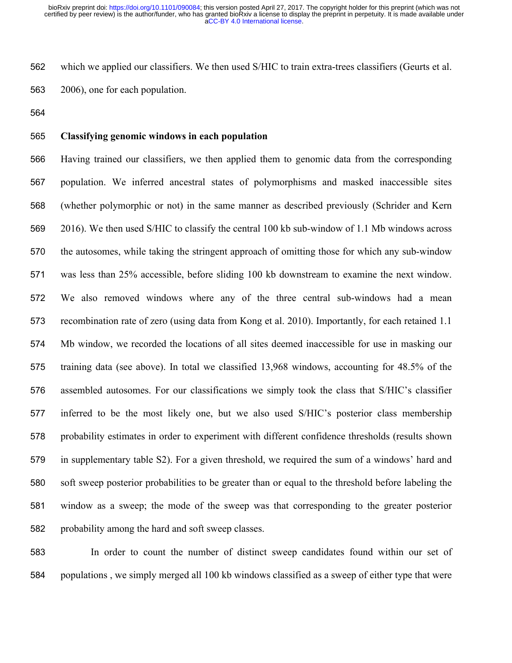which we applied our classifiers. We then used S/HIC to train extra-trees classifiers (Geurts et al. 2006), one for each population.

#### **Classifying genomic windows in each population**

 Having trained our classifiers, we then applied them to genomic data from the corresponding population. We inferred ancestral states of polymorphisms and masked inaccessible sites (whether polymorphic or not) in the same manner as described previously (Schrider and Kern 2016). We then used S/HIC to classify the central 100 kb sub-window of 1.1 Mb windows across the autosomes, while taking the stringent approach of omitting those for which any sub-window was less than 25% accessible, before sliding 100 kb downstream to examine the next window. We also removed windows where any of the three central sub-windows had a mean recombination rate of zero (using data from Kong et al. 2010). Importantly, for each retained 1.1 Mb window, we recorded the locations of all sites deemed inaccessible for use in masking our training data (see above). In total we classified 13,968 windows, accounting for 48.5% of the assembled autosomes. For our classifications we simply took the class that S/HIC's classifier inferred to be the most likely one, but we also used S/HIC's posterior class membership probability estimates in order to experiment with different confidence thresholds (results shown in supplementary table S2). For a given threshold, we required the sum of a windows' hard and soft sweep posterior probabilities to be greater than or equal to the threshold before labeling the window as a sweep; the mode of the sweep was that corresponding to the greater posterior probability among the hard and soft sweep classes.

 In order to count the number of distinct sweep candidates found within our set of populations , we simply merged all 100 kb windows classified as a sweep of either type that were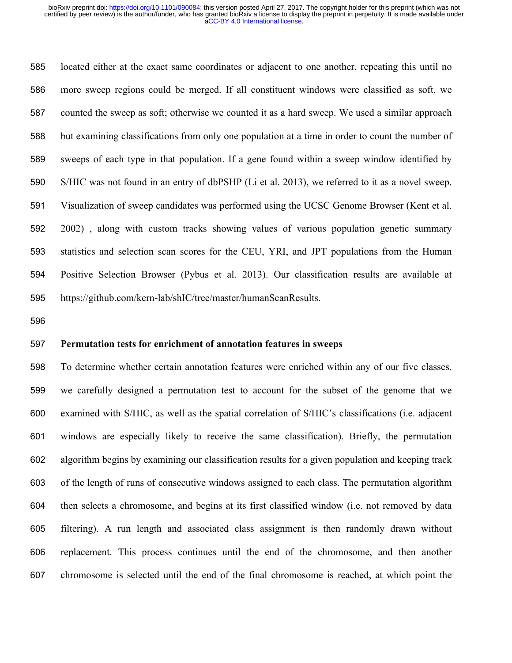located either at the exact same coordinates or adjacent to one another, repeating this until no more sweep regions could be merged. If all constituent windows were classified as soft, we counted the sweep as soft; otherwise we counted it as a hard sweep. We used a similar approach but examining classifications from only one population at a time in order to count the number of sweeps of each type in that population. If a gene found within a sweep window identified by S/HIC was not found in an entry of dbPSHP (Li et al. 2013), we referred to it as a novel sweep. Visualization of sweep candidates was performed using the UCSC Genome Browser (Kent et al. 2002) , along with custom tracks showing values of various population genetic summary statistics and selection scan scores for the CEU, YRI, and JPT populations from the Human Positive Selection Browser (Pybus et al. 2013). Our classification results are available at https://github.com/kern-lab/shIC/tree/master/humanScanResults.

#### **Permutation tests for enrichment of annotation features in sweeps**

 To determine whether certain annotation features were enriched within any of our five classes, we carefully designed a permutation test to account for the subset of the genome that we examined with S/HIC, as well as the spatial correlation of S/HIC's classifications (i.e. adjacent windows are especially likely to receive the same classification). Briefly, the permutation algorithm begins by examining our classification results for a given population and keeping track of the length of runs of consecutive windows assigned to each class. The permutation algorithm then selects a chromosome, and begins at its first classified window (i.e. not removed by data filtering). A run length and associated class assignment is then randomly drawn without replacement. This process continues until the end of the chromosome, and then another chromosome is selected until the end of the final chromosome is reached, at which point the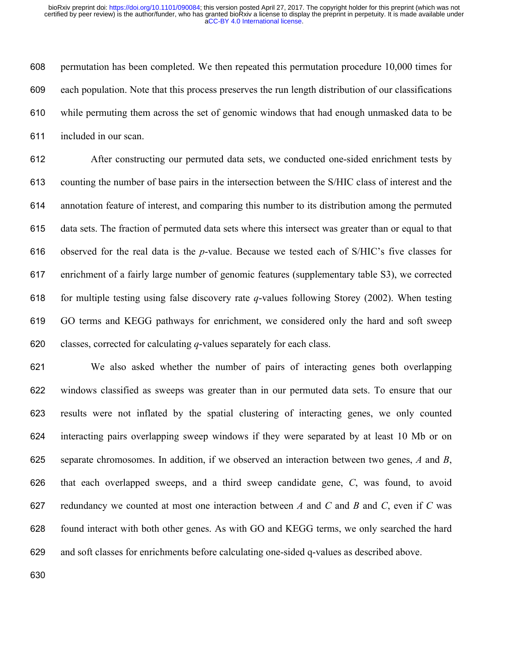permutation has been completed. We then repeated this permutation procedure 10,000 times for each population. Note that this process preserves the run length distribution of our classifications while permuting them across the set of genomic windows that had enough unmasked data to be included in our scan.

 After constructing our permuted data sets, we conducted one-sided enrichment tests by counting the number of base pairs in the intersection between the S/HIC class of interest and the annotation feature of interest, and comparing this number to its distribution among the permuted data sets. The fraction of permuted data sets where this intersect was greater than or equal to that observed for the real data is the *p*-value. Because we tested each of S/HIC's five classes for enrichment of a fairly large number of genomic features (supplementary table S3), we corrected for multiple testing using false discovery rate *q*-values following Storey (2002). When testing GO terms and KEGG pathways for enrichment, we considered only the hard and soft sweep classes, corrected for calculating *q*-values separately for each class.

 We also asked whether the number of pairs of interacting genes both overlapping windows classified as sweeps was greater than in our permuted data sets. To ensure that our results were not inflated by the spatial clustering of interacting genes, we only counted interacting pairs overlapping sweep windows if they were separated by at least 10 Mb or on separate chromosomes. In addition, if we observed an interaction between two genes, *A* and *B*, that each overlapped sweeps, and a third sweep candidate gene, *C*, was found, to avoid redundancy we counted at most one interaction between *A* and *C* and *B* and *C*, even if *C* was found interact with both other genes. As with GO and KEGG terms, we only searched the hard and soft classes for enrichments before calculating one-sided q-values as described above.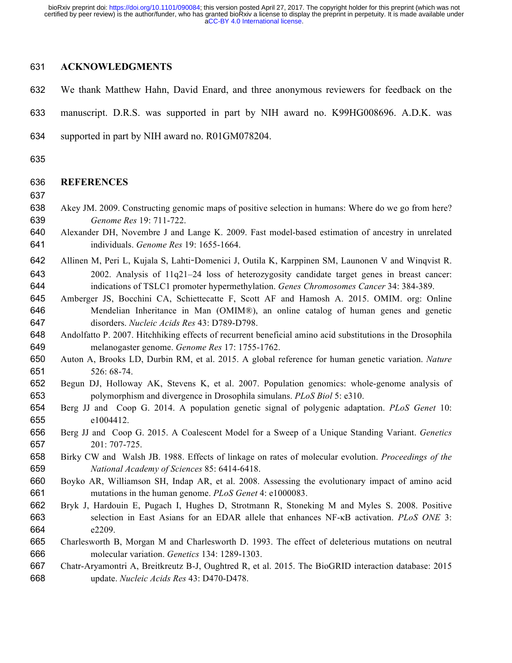# **ACKNOWLEDGMENTS**

- We thank Matthew Hahn, David Enard, and three anonymous reviewers for feedback on the
- manuscript. D.R.S. was supported in part by NIH award no. K99HG008696. A.D.K. was
- supported in part by NIH award no. R01GM078204.
- 

#### **REFERENCES**

- 
- Akey JM. 2009. Constructing genomic maps of positive selection in humans: Where do we go from here? *Genome Res* 19: 711-722.
- Alexander DH, Novembre J and Lange K. 2009. Fast model-based estimation of ancestry in unrelated individuals. *Genome Res* 19: 1655-1664.
- Allinen M, Peri L, Kujala S, Lahti**-**Domenici J, Outila K, Karppinen SM, Launonen V and Winqvist R. 2002. Analysis of 11q21–24 loss of heterozygosity candidate target genes in breast cancer: indications of TSLC1 promoter hypermethylation. *Genes Chromosomes Cancer* 34: 384-389.
- Amberger JS, Bocchini CA, Schiettecatte F, Scott AF and Hamosh A. 2015. OMIM. org: Online Mendelian Inheritance in Man (OMIM®), an online catalog of human genes and genetic disorders. *Nucleic Acids Res* 43: D789-D798.
- Andolfatto P. 2007. Hitchhiking effects of recurrent beneficial amino acid substitutions in the Drosophila melanogaster genome. *Genome Res* 17: 1755-1762.
- Auton A, Brooks LD, Durbin RM, et al. 2015. A global reference for human genetic variation. *Nature* 526: 68-74.
- Begun DJ, Holloway AK, Stevens K, et al. 2007. Population genomics: whole-genome analysis of polymorphism and divergence in Drosophila simulans. *PLoS Biol* 5: e310.
- Berg JJ and Coop G. 2014. A population genetic signal of polygenic adaptation. *PLoS Genet* 10: e1004412.
- Berg JJ and Coop G. 2015. A Coalescent Model for a Sweep of a Unique Standing Variant. *Genetics* 201: 707-725.
- Birky CW and Walsh JB. 1988. Effects of linkage on rates of molecular evolution. *Proceedings of the National Academy of Sciences* 85: 6414-6418.
- Boyko AR, Williamson SH, Indap AR, et al. 2008. Assessing the evolutionary impact of amino acid mutations in the human genome. *PLoS Genet* 4: e1000083.
- Bryk J, Hardouin E, Pugach I, Hughes D, Strotmann R, Stoneking M and Myles S. 2008. Positive selection in East Asians for an EDAR allele that enhances NF-κB activation. *PLoS ONE* 3: e2209.
- Charlesworth B, Morgan M and Charlesworth D. 1993. The effect of deleterious mutations on neutral molecular variation. *Genetics* 134: 1289-1303.
- Chatr-Aryamontri A, Breitkreutz B-J, Oughtred R, et al. 2015. The BioGRID interaction database: 2015 update. *Nucleic Acids Res* 43: D470-D478.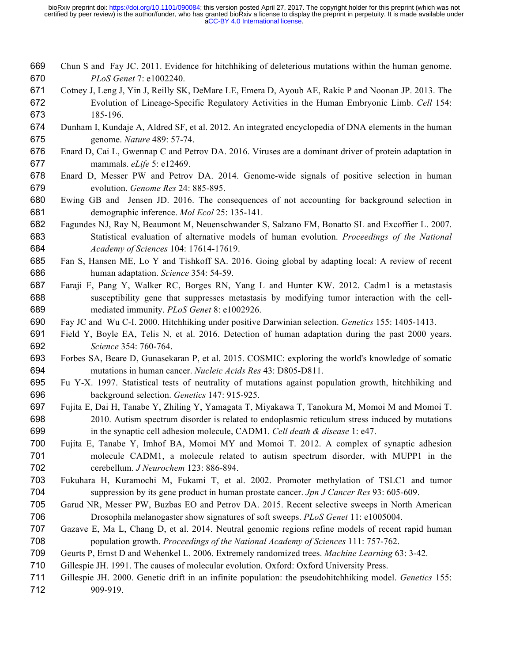- Chun S and Fay JC. 2011. Evidence for hitchhiking of deleterious mutations within the human genome. *PLoS Genet* 7: e1002240.
- Cotney J, Leng J, Yin J, Reilly SK, DeMare LE, Emera D, Ayoub AE, Rakic P and Noonan JP. 2013. The Evolution of Lineage-Specific Regulatory Activities in the Human Embryonic Limb. *Cell* 154: 185-196.
- Dunham I, Kundaje A, Aldred SF, et al. 2012. An integrated encyclopedia of DNA elements in the human genome. *Nature* 489: 57-74.
- Enard D, Cai L, Gwennap C and Petrov DA. 2016. Viruses are a dominant driver of protein adaptation in mammals. *eLife* 5: e12469.
- Enard D, Messer PW and Petrov DA. 2014. Genome-wide signals of positive selection in human evolution. *Genome Res* 24: 885-895.
- Ewing GB and Jensen JD. 2016. The consequences of not accounting for background selection in demographic inference. *Mol Ecol* 25: 135-141.
- Fagundes NJ, Ray N, Beaumont M, Neuenschwander S, Salzano FM, Bonatto SL and Excoffier L. 2007. Statistical evaluation of alternative models of human evolution. *Proceedings of the National Academy of Sciences* 104: 17614-17619.
- Fan S, Hansen ME, Lo Y and Tishkoff SA. 2016. Going global by adapting local: A review of recent human adaptation. *Science* 354: 54-59.
- Faraji F, Pang Y, Walker RC, Borges RN, Yang L and Hunter KW. 2012. Cadm1 is a metastasis susceptibility gene that suppresses metastasis by modifying tumor interaction with the cell-mediated immunity. *PLoS Genet* 8: e1002926.
- Fay JC and Wu C-I. 2000. Hitchhiking under positive Darwinian selection. *Genetics* 155: 1405-1413.
- Field Y, Boyle EA, Telis N, et al. 2016. Detection of human adaptation during the past 2000 years. *Science* 354: 760-764.
- Forbes SA, Beare D, Gunasekaran P, et al. 2015. COSMIC: exploring the world's knowledge of somatic mutations in human cancer. *Nucleic Acids Res* 43: D805-D811.
- Fu Y-X. 1997. Statistical tests of neutrality of mutations against population growth, hitchhiking and background selection. *Genetics* 147: 915-925.
- Fujita E, Dai H, Tanabe Y, Zhiling Y, Yamagata T, Miyakawa T, Tanokura M, Momoi M and Momoi T. 2010. Autism spectrum disorder is related to endoplasmic reticulum stress induced by mutations in the synaptic cell adhesion molecule, CADM1. *Cell death & disease* 1: e47.
- Fujita E, Tanabe Y, Imhof BA, Momoi MY and Momoi T. 2012. A complex of synaptic adhesion molecule CADM1, a molecule related to autism spectrum disorder, with MUPP1 in the cerebellum. *J Neurochem* 123: 886-894.
- Fukuhara H, Kuramochi M, Fukami T, et al. 2002. Promoter methylation of TSLC1 and tumor suppression by its gene product in human prostate cancer. *Jpn J Cancer Res* 93: 605-609.
- Garud NR, Messer PW, Buzbas EO and Petrov DA. 2015. Recent selective sweeps in North American Drosophila melanogaster show signatures of soft sweeps. *PLoS Genet* 11: e1005004.
- Gazave E, Ma L, Chang D, et al. 2014. Neutral genomic regions refine models of recent rapid human population growth. *Proceedings of the National Academy of Sciences* 111: 757-762.
- Geurts P, Ernst D and Wehenkel L. 2006. Extremely randomized trees. *Machine Learning* 63: 3-42.
- Gillespie JH. 1991. The causes of molecular evolution. Oxford: Oxford University Press.
- Gillespie JH. 2000. Genetic drift in an infinite population: the pseudohitchhiking model. *Genetics* 155: 909-919.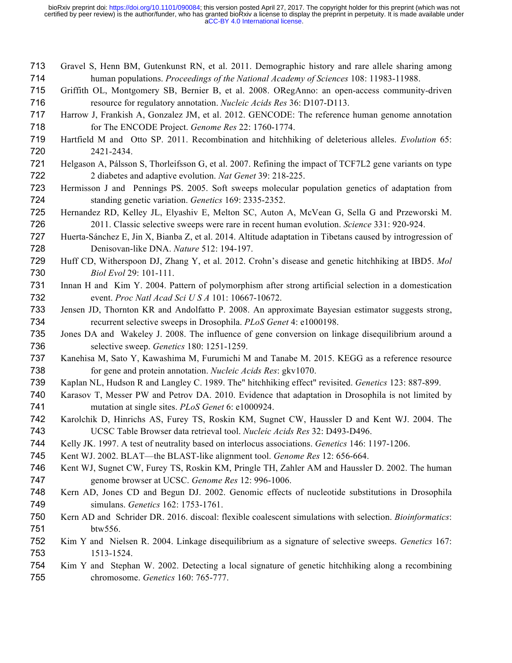- Gravel S, Henn BM, Gutenkunst RN, et al. 2011. Demographic history and rare allele sharing among human populations. *Proceedings of the National Academy of Sciences* 108: 11983-11988.
- Griffith OL, Montgomery SB, Bernier B, et al. 2008. ORegAnno: an open-access community-driven resource for regulatory annotation. *Nucleic Acids Res* 36: D107-D113.
- Harrow J, Frankish A, Gonzalez JM, et al. 2012. GENCODE: The reference human genome annotation for The ENCODE Project. *Genome Res* 22: 1760-1774.
- Hartfield M and Otto SP. 2011. Recombination and hitchhiking of deleterious alleles. *Evolution* 65: 2421-2434.
- Helgason A, Pálsson S, Thorleifsson G, et al. 2007. Refining the impact of TCF7L2 gene variants on type 2 diabetes and adaptive evolution. *Nat Genet* 39: 218-225.
- Hermisson J and Pennings PS. 2005. Soft sweeps molecular population genetics of adaptation from standing genetic variation. *Genetics* 169: 2335-2352.
- Hernandez RD, Kelley JL, Elyashiv E, Melton SC, Auton A, McVean G, Sella G and Przeworski M. 2011. Classic selective sweeps were rare in recent human evolution. *Science* 331: 920-924.
- Huerta-Sánchez E, Jin X, Bianba Z, et al. 2014. Altitude adaptation in Tibetans caused by introgression of Denisovan-like DNA. *Nature* 512: 194-197.
- Huff CD, Witherspoon DJ, Zhang Y, et al. 2012. Crohn's disease and genetic hitchhiking at IBD5. *Mol Biol Evol* 29: 101-111.
- Innan H and Kim Y. 2004. Pattern of polymorphism after strong artificial selection in a domestication event. *Proc Natl Acad Sci U S A* 101: 10667-10672.
- Jensen JD, Thornton KR and Andolfatto P. 2008. An approximate Bayesian estimator suggests strong, recurrent selective sweeps in Drosophila. *PLoS Genet* 4: e1000198.
- Jones DA and Wakeley J. 2008. The influence of gene conversion on linkage disequilibrium around a selective sweep. *Genetics* 180: 1251-1259.
- Kanehisa M, Sato Y, Kawashima M, Furumichi M and Tanabe M. 2015. KEGG as a reference resource for gene and protein annotation. *Nucleic Acids Res*: gkv1070.
- Kaplan NL, Hudson R and Langley C. 1989. The" hitchhiking effect" revisited. *Genetics* 123: 887-899.
- Karasov T, Messer PW and Petrov DA. 2010. Evidence that adaptation in Drosophila is not limited by mutation at single sites. *PLoS Genet* 6: e1000924.
- Karolchik D, Hinrichs AS, Furey TS, Roskin KM, Sugnet CW, Haussler D and Kent WJ. 2004. The UCSC Table Browser data retrieval tool. *Nucleic Acids Res* 32: D493-D496.
- Kelly JK. 1997. A test of neutrality based on interlocus associations. *Genetics* 146: 1197-1206.
- Kent WJ. 2002. BLAT—the BLAST-like alignment tool. *Genome Res* 12: 656-664.
- Kent WJ, Sugnet CW, Furey TS, Roskin KM, Pringle TH, Zahler AM and Haussler D. 2002. The human genome browser at UCSC. *Genome Res* 12: 996-1006.
- Kern AD, Jones CD and Begun DJ. 2002. Genomic effects of nucleotide substitutions in Drosophila simulans. *Genetics* 162: 1753-1761.
- Kern AD and Schrider DR. 2016. discoal: flexible coalescent simulations with selection. *Bioinformatics*: btw556.
- Kim Y and Nielsen R. 2004. Linkage disequilibrium as a signature of selective sweeps. *Genetics* 167: 1513-1524.
- Kim Y and Stephan W. 2002. Detecting a local signature of genetic hitchhiking along a recombining chromosome. *Genetics* 160: 765-777.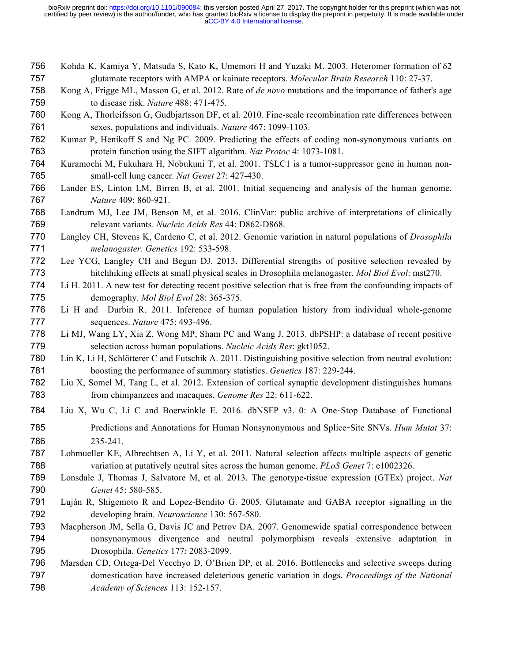- Kohda K, Kamiya Y, Matsuda S, Kato K, Umemori H and Yuzaki M. 2003. Heteromer formation of δ2 glutamate receptors with AMPA or kainate receptors. *Molecular Brain Research* 110: 27-37.
- Kong A, Frigge ML, Masson G, et al. 2012. Rate of *de novo* mutations and the importance of father's age to disease risk. *Nature* 488: 471-475.
- Kong A, Thorleifsson G, Gudbjartsson DF, et al. 2010. Fine-scale recombination rate differences between sexes, populations and individuals. *Nature* 467: 1099-1103.
- Kumar P, Henikoff S and Ng PC. 2009. Predicting the effects of coding non-synonymous variants on protein function using the SIFT algorithm. *Nat Protoc* 4: 1073-1081.
- Kuramochi M, Fukuhara H, Nobukuni T, et al. 2001. TSLC1 is a tumor-suppressor gene in human non-small-cell lung cancer. *Nat Genet* 27: 427-430.
- Lander ES, Linton LM, Birren B, et al. 2001. Initial sequencing and analysis of the human genome. *Nature* 409: 860-921.
- Landrum MJ, Lee JM, Benson M, et al. 2016. ClinVar: public archive of interpretations of clinically relevant variants. *Nucleic Acids Res* 44: D862-D868.
- Langley CH, Stevens K, Cardeno C, et al. 2012. Genomic variation in natural populations of *Drosophila melanogaster*. *Genetics* 192: 533-598.
- Lee YCG, Langley CH and Begun DJ. 2013. Differential strengths of positive selection revealed by hitchhiking effects at small physical scales in Drosophila melanogaster. *Mol Biol Evol*: mst270.
- Li H. 2011. A new test for detecting recent positive selection that is free from the confounding impacts of demography. *Mol Biol Evol* 28: 365-375.
- Li H and Durbin R. 2011. Inference of human population history from individual whole-genome sequences. *Nature* 475: 493-496.
- Li MJ, Wang LY, Xia Z, Wong MP, Sham PC and Wang J. 2013. dbPSHP: a database of recent positive selection across human populations. *Nucleic Acids Res*: gkt1052.
- Lin K, Li H, Schlötterer C and Futschik A. 2011. Distinguishing positive selection from neutral evolution: boosting the performance of summary statistics. *Genetics* 187: 229-244.
- Liu X, Somel M, Tang L, et al. 2012. Extension of cortical synaptic development distinguishes humans from chimpanzees and macaques. *Genome Res* 22: 611-622.
- Liu X, Wu C, Li C and Boerwinkle E. 2016. dbNSFP v3. 0: A One**-**Stop Database of Functional
- Predictions and Annotations for Human Nonsynonymous and Splice**-**Site SNVs. *Hum Mutat* 37: 235-241.
- Lohmueller KE, Albrechtsen A, Li Y, et al. 2011. Natural selection affects multiple aspects of genetic variation at putatively neutral sites across the human genome. *PLoS Genet* 7: e1002326.
- Lonsdale J, Thomas J, Salvatore M, et al. 2013. The genotype-tissue expression (GTEx) project. *Nat Genet* 45: 580-585.
- Luján R, Shigemoto R and Lopez-Bendito G. 2005. Glutamate and GABA receptor signalling in the developing brain. *Neuroscience* 130: 567-580.
- Macpherson JM, Sella G, Davis JC and Petrov DA. 2007. Genomewide spatial correspondence between nonsynonymous divergence and neutral polymorphism reveals extensive adaptation in Drosophila. *Genetics* 177: 2083-2099.
- Marsden CD, Ortega-Del Vecchyo D, O'Brien DP, et al. 2016. Bottlenecks and selective sweeps during domestication have increased deleterious genetic variation in dogs. *Proceedings of the National Academy of Sciences* 113: 152-157.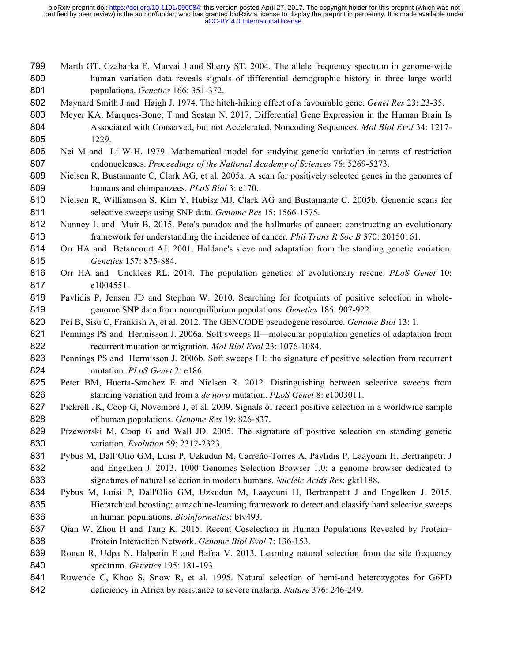- Marth GT, Czabarka E, Murvai J and Sherry ST. 2004. The allele frequency spectrum in genome-wide human variation data reveals signals of differential demographic history in three large world populations. *Genetics* 166: 351-372.
- Maynard Smith J and Haigh J. 1974. The hitch-hiking effect of a favourable gene. *Genet Res* 23: 23-35.
- Meyer KA, Marques-Bonet T and Sestan N. 2017. Differential Gene Expression in the Human Brain Is Associated with Conserved, but not Accelerated, Noncoding Sequences. *Mol Biol Evol* 34: 1217- 1229.
- Nei M and Li W-H. 1979. Mathematical model for studying genetic variation in terms of restriction endonucleases. *Proceedings of the National Academy of Sciences* 76: 5269-5273.
- Nielsen R, Bustamante C, Clark AG, et al. 2005a. A scan for positively selected genes in the genomes of humans and chimpanzees. *PLoS Biol* 3: e170.
- Nielsen R, Williamson S, Kim Y, Hubisz MJ, Clark AG and Bustamante C. 2005b. Genomic scans for selective sweeps using SNP data. *Genome Res* 15: 1566-1575.
- 812 Nunney L and Muir B. 2015. Peto's paradox and the hallmarks of cancer: constructing an evolutionary framework for understanding the incidence of cancer. *Phil Trans R Soc B* 370: 20150161.
- Orr HA and Betancourt AJ. 2001. Haldane's sieve and adaptation from the standing genetic variation. *Genetics* 157: 875-884.
- Orr HA and Unckless RL. 2014. The population genetics of evolutionary rescue. *PLoS Genet* 10: e1004551.
- Pavlidis P, Jensen JD and Stephan W. 2010. Searching for footprints of positive selection in whole-genome SNP data from nonequilibrium populations. *Genetics* 185: 907-922.
- Pei B, Sisu C, Frankish A, et al. 2012. The GENCODE pseudogene resource. *Genome Biol* 13: 1.
- Pennings PS and Hermisson J. 2006a. Soft sweeps II—molecular population genetics of adaptation from recurrent mutation or migration. *Mol Biol Evol* 23: 1076-1084.
- 823 Pennings PS and Hermisson J. 2006b. Soft sweeps III: the signature of positive selection from recurrent mutation. *PLoS Genet* 2: e186.
- Peter BM, Huerta-Sanchez E and Nielsen R. 2012. Distinguishing between selective sweeps from standing variation and from a *de novo* mutation. *PLoS Genet* 8: e1003011.
- Pickrell JK, Coop G, Novembre J, et al. 2009. Signals of recent positive selection in a worldwide sample of human populations. *Genome Res* 19: 826-837.
- Przeworski M, Coop G and Wall JD. 2005. The signature of positive selection on standing genetic variation. *Evolution* 59: 2312-2323.
- 831 Pybus M, Dall'Olio GM, Luisi P, Uzkudun M, Carreño-Torres A, Pavlidis P, Laayouni H, Bertranpetit J and Engelken J. 2013. 1000 Genomes Selection Browser 1.0: a genome browser dedicated to signatures of natural selection in modern humans. *Nucleic Acids Res*: gkt1188.
- Pybus M, Luisi P, Dall'Olio GM, Uzkudun M, Laayouni H, Bertranpetit J and Engelken J. 2015. Hierarchical boosting: a machine-learning framework to detect and classify hard selective sweeps in human populations. *Bioinformatics*: btv493.
- 837 Qian W, Zhou H and Tang K. 2015. Recent Coselection in Human Populations Revealed by Protein– Protein Interaction Network. *Genome Biol Evol* 7: 136-153.
- 839 Ronen R, Udpa N, Halperin E and Bafna V. 2013. Learning natural selection from the site frequency spectrum. *Genetics* 195: 181-193.
- Ruwende C, Khoo S, Snow R, et al. 1995. Natural selection of hemi-and heterozygotes for G6PD deficiency in Africa by resistance to severe malaria. *Nature* 376: 246-249.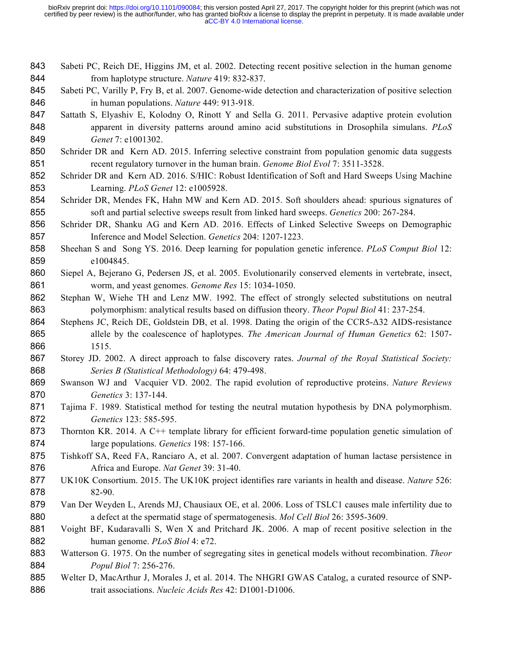- Sabeti PC, Reich DE, Higgins JM, et al. 2002. Detecting recent positive selection in the human genome from haplotype structure. *Nature* 419: 832-837.
- Sabeti PC, Varilly P, Fry B, et al. 2007. Genome-wide detection and characterization of positive selection in human populations. *Nature* 449: 913-918.
- Sattath S, Elyashiv E, Kolodny O, Rinott Y and Sella G. 2011. Pervasive adaptive protein evolution apparent in diversity patterns around amino acid substitutions in Drosophila simulans. *PLoS Genet* 7: e1001302.
- Schrider DR and Kern AD. 2015. Inferring selective constraint from population genomic data suggests recent regulatory turnover in the human brain. *Genome Biol Evol* 7: 3511-3528.
- Schrider DR and Kern AD. 2016. S/HIC: Robust Identification of Soft and Hard Sweeps Using Machine Learning. *PLoS Genet* 12: e1005928.
- Schrider DR, Mendes FK, Hahn MW and Kern AD. 2015. Soft shoulders ahead: spurious signatures of soft and partial selective sweeps result from linked hard sweeps. *Genetics* 200: 267-284.
- Schrider DR, Shanku AG and Kern AD. 2016. Effects of Linked Selective Sweeps on Demographic Inference and Model Selection. *Genetics* 204: 1207-1223.
- Sheehan S and Song YS. 2016. Deep learning for population genetic inference. *PLoS Comput Biol* 12: e1004845.
- Siepel A, Bejerano G, Pedersen JS, et al. 2005. Evolutionarily conserved elements in vertebrate, insect, worm, and yeast genomes. *Genome Res* 15: 1034-1050.
- Stephan W, Wiehe TH and Lenz MW. 1992. The effect of strongly selected substitutions on neutral polymorphism: analytical results based on diffusion theory. *Theor Popul Biol* 41: 237-254.
- Stephens JC, Reich DE, Goldstein DB, et al. 1998. Dating the origin of the CCR5-Δ32 AIDS-resistance allele by the coalescence of haplotypes. *The American Journal of Human Genetics* 62: 1507- 1515.
- Storey JD. 2002. A direct approach to false discovery rates. *Journal of the Royal Statistical Society: Series B (Statistical Methodology)* 64: 479-498.
- Swanson WJ and Vacquier VD. 2002. The rapid evolution of reproductive proteins. *Nature Reviews Genetics* 3: 137-144.
- Tajima F. 1989. Statistical method for testing the neutral mutation hypothesis by DNA polymorphism. *Genetics* 123: 585-595.
- 873 Thornton KR. 2014. A C<sup>++</sup> template library for efficient forward-time population genetic simulation of large populations. *Genetics* 198: 157-166.
- Tishkoff SA, Reed FA, Ranciaro A, et al. 2007. Convergent adaptation of human lactase persistence in Africa and Europe. *Nat Genet* 39: 31-40.
- UK10K Consortium. 2015. The UK10K project identifies rare variants in health and disease. *Nature* 526: 82-90.
- Van Der Weyden L, Arends MJ, Chausiaux OE, et al. 2006. Loss of TSLC1 causes male infertility due to a defect at the spermatid stage of spermatogenesis. *Mol Cell Biol* 26: 3595-3609.
- Voight BF, Kudaravalli S, Wen X and Pritchard JK. 2006. A map of recent positive selection in the human genome. *PLoS Biol* 4: e72.
- Watterson G. 1975. On the number of segregating sites in genetical models without recombination. *Theor Popul Biol* 7: 256-276.
- Welter D, MacArthur J, Morales J, et al. 2014. The NHGRI GWAS Catalog, a curated resource of SNP-trait associations. *Nucleic Acids Res* 42: D1001-D1006.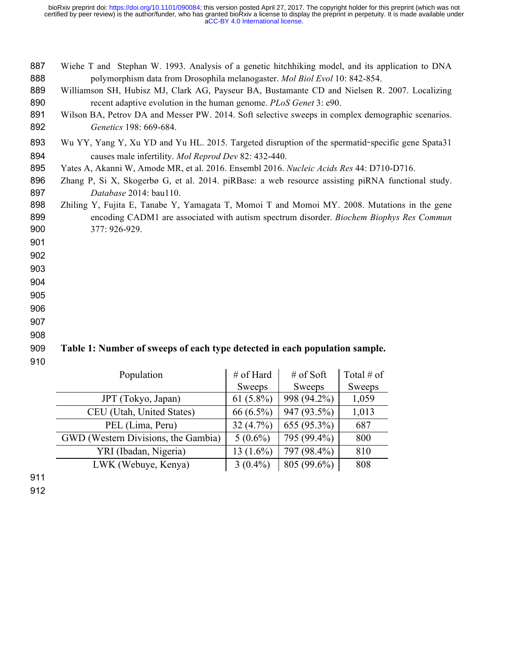| 887 | Wiehe T and Stephan W. 1993. Analysis of a genetic hitchhiking model, and its application to DNA  |
|-----|---------------------------------------------------------------------------------------------------|
| 888 | polymorphism data from Drosophila melanogaster. Mol Biol Evol 10: 842-854.                        |
| 889 | Williamson SH, Hubisz MJ, Clark AG, Payseur BA, Bustamante CD and Nielsen R. 2007. Localizing     |
| 890 | recent adaptive evolution in the human genome. PLoS Genet 3: e90.                                 |
| 891 | Wilson BA, Petrov DA and Messer PW. 2014. Soft selective sweeps in complex demographic scenarios. |
| 892 | Genetics 198: 669-684.                                                                            |
| 893 | Wu YY, Yang Y, Xu YD and Yu HL. 2015. Targeted disruption of the spermatid-specific gene Spata31  |
| 894 | causes male infertility. Mol Reprod Dev 82: 432-440.                                              |
| 895 | Yates A, Akanni W, Amode MR, et al. 2016. Ensembl 2016. Nucleic Acids Res 44: D710-D716.          |
| 896 | Zhang P, Si X, Skogerbø G, et al. 2014. piRBase: a web resource assisting piRNA functional study. |
| 897 | Database 2014: bau110.                                                                            |
| 898 | Zhiling Y, Fujita E, Tanabe Y, Yamagata T, Momoi T and Momoi MY. 2008. Mutations in the gene      |
| 899 | encoding CADM1 are associated with autism spectrum disorder. Biochem Biophys Res Commun           |
| 900 | 377: 926-929.                                                                                     |
| 901 |                                                                                                   |
| 902 |                                                                                                   |
| 903 |                                                                                                   |
| 904 |                                                                                                   |
| 905 |                                                                                                   |
| 906 |                                                                                                   |
| 907 |                                                                                                   |
| 908 |                                                                                                   |
| 909 | Table 1: Number of sweeps of each type detected in each population sample.                        |
| 910 |                                                                                                   |

| Population                          | # of Hard    | # of Soft     | Total # of |
|-------------------------------------|--------------|---------------|------------|
|                                     | Sweeps       | Sweeps        | Sweeps     |
| JPT (Tokyo, Japan)                  | 61 $(5.8\%)$ | 998 (94.2%)   | 1,059      |
| CEU (Utah, United States)           | 66 $(6.5\%)$ | 947 (93.5%)   | 1,013      |
| PEL (Lima, Peru)                    | 32(4.7%)     | $655(95.3\%)$ | 687        |
| GWD (Western Divisions, the Gambia) | $5(0.6\%)$   | 795 (99.4%)   | 800        |
| YRI (Ibadan, Nigeria)               | $13(1.6\%)$  | 797 (98.4%)   | 810        |
| LWK (Webuye, Kenya)                 | $3(0.4\%)$   | $805(99.6\%)$ | 808        |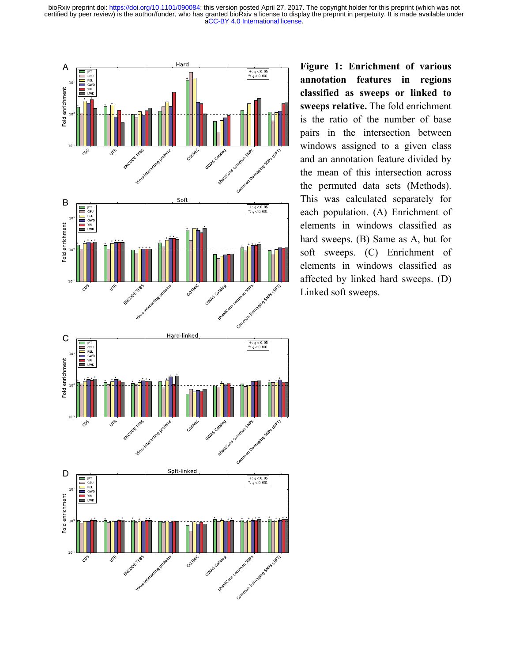

905 **Figure 1: Enrichment of various**  906 **annotation features in regions**  907 **classified as sweeps or linked to**  sweeps relative. The fold enrichment is the ratio of the number of base pairs in the intersection between windows assigned to a given class  $\int_{\mathbb{R}^8}$  and an annotation feature divided by the mean of this intersection across the permuted data sets (Methods). This was calculated separately for each population. (A) Enrichment of elements in windows classified as hard sweeps. (B) Same as A, but for soft sweeps. (C) Enrichment of elements in windows classified as affected by linked hard sweeps.  $(D)$ Linked soft sweeps.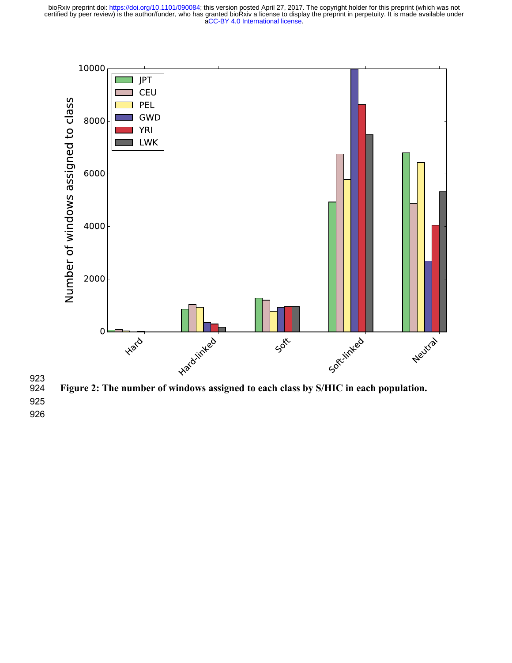

923<br>924

925

926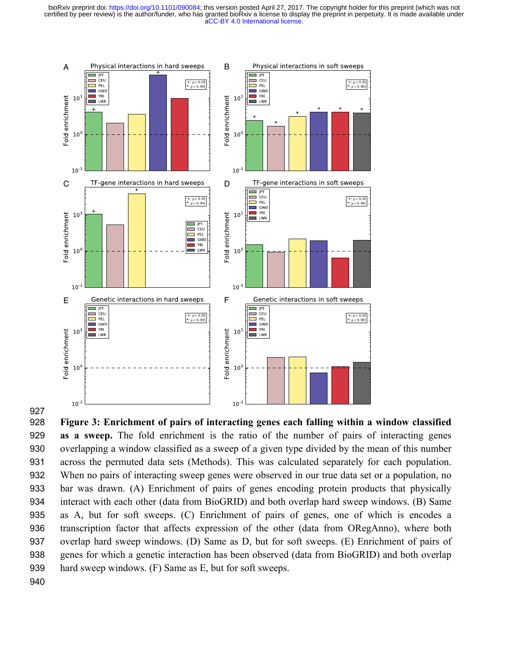[aCC-BY 4.0 International license.](http://creativecommons.org/licenses/by/4.0/) certified by peer review) is the author/funder, who has granted bioRxiv a license to display the preprint in perpetuity. It is made available under bioRxiv preprint doi: [https://doi.org/10.1101/090084;](https://doi.org/10.1101/090084) this version posted April 27, 2017. The copyright holder for this preprint (which was not



 **Figure 3: Enrichment of pairs of interacting genes each falling within a window classified as a sweep.** The fold enrichment is the ratio of the number of pairs of interacting genes overlapping a window classified as a sweep of a given type divided by the mean of this number across the permuted data sets (Methods). This was calculated separately for each population. When no pairs of interacting sweep genes were observed in our true data set or a population, no bar was drawn. (A) Enrichment of pairs of genes encoding protein products that physically interact with each other (data from BioGRID) and both overlap hard sweep windows. (B) Same as A, but for soft sweeps. (C) Enrichment of pairs of genes, one of which is encodes a transcription factor that affects expression of the other (data from ORegAnno), where both overlap hard sweep windows. (D) Same as D, but for soft sweeps. (E) Enrichment of pairs of genes for which a genetic interaction has been observed (data from BioGRID) and both overlap hard sweep windows. (F) Same as E, but for soft sweeps.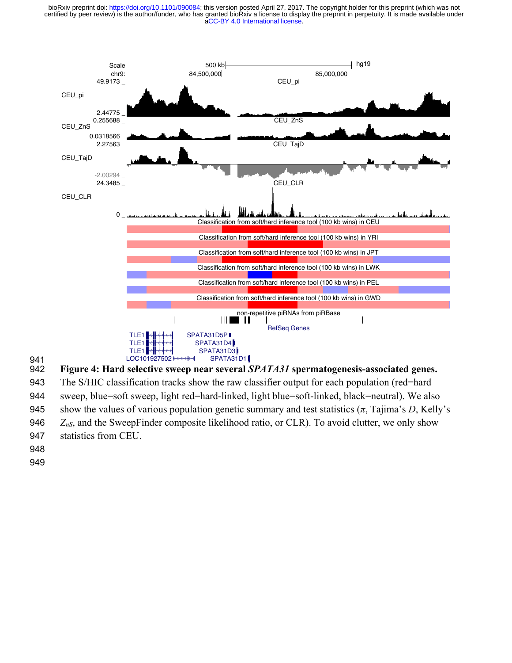

#### 941<br>942 942 **Figure 4: Hard selective sweep near several** *SPATA31* **spermatogenesis-associated genes.**

943 The S/HIC classification tracks show the raw classifier output for each population (red=hard

944 sweep, blue=soft sweep, light red=hard-linked, light blue=soft-linked, black=neutral). We also

945 show the values of various population genetic summary and test statistics (*π*, Tajima's *D*, Kelly's

- 946 *ZnS*, and the SweepFinder composite likelihood ratio, or CLR). To avoid clutter, we only show
- 947 statistics from CEU.
- 948
- 949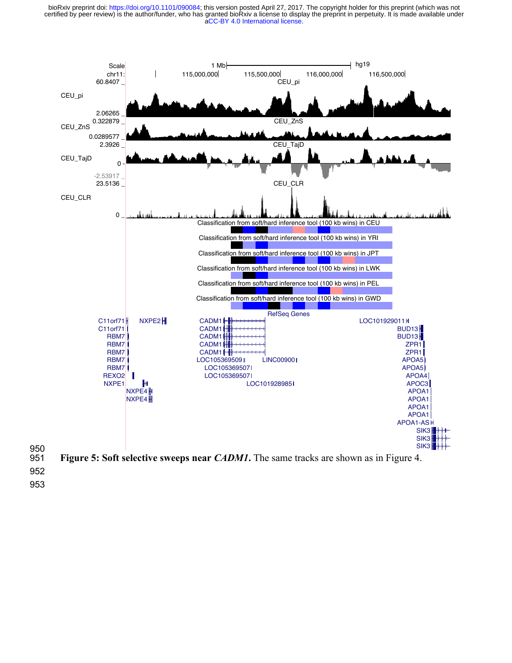

953